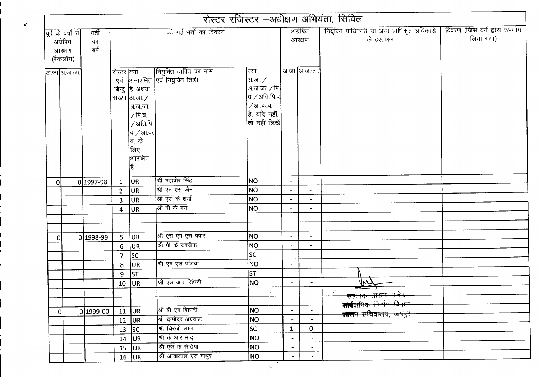|          |                                          |                     |                    |                                                                                                                                            |                                                        |                                                                                                   |                          |                          | रोस्टर रजिस्टर -अधीक्षण अभियंता, सिविल                        |                                           |
|----------|------------------------------------------|---------------------|--------------------|--------------------------------------------------------------------------------------------------------------------------------------------|--------------------------------------------------------|---------------------------------------------------------------------------------------------------|--------------------------|--------------------------|---------------------------------------------------------------|-------------------------------------------|
| अग्रेषित | पूर्व के वर्षों से<br>आरक्षण<br>(बैकलॉग) | भर्ती<br>का<br>बर्ष |                    |                                                                                                                                            | की गई भर्ती का विवरण                                   |                                                                                                   |                          | अग्रेषित<br>आरक्षण       | नियुक्ति प्राधिकारी या अन्य प्राधिकृत अधिकारी<br>के हस्ताक्षर | विवरण (जिस वर्ग द्वारा उपयोग<br>लिया गया) |
|          | आ.जा अ.ज.जा.                             |                     | रोस्टर क्या<br>एवं | बिन्दु है अथवा<br>संख्या आजा. $\angle$<br> अ.ज.जा.<br>∕पि.व.<br>$\sqrt{3}$ ाति.पि.<br> व. <i>/</i> आ.क.<br> व. के<br>लिए<br>आरक्षित<br> है | नियुक्ति व्यक्ति का नाम<br>अनारक्षित एवं नियुक्ति तिथि | क्या<br> अ.जा. ∕<br> अ.ज.जा. ∕ पि.<br>व. ∕ अति.पि.व.<br>/आ.क.व.<br>है, यदि नहीं,<br>तो नहीं लिखें |                          | अ.जा अ.ज.जा.             |                                                               |                                           |
| οl       |                                          | 0 1997-98           | $\mathbf{1}$       | UR                                                                                                                                         | श्री महावीर सिंह                                       | NO                                                                                                | $\blacksquare$           | $\blacksquare$           |                                                               |                                           |
|          |                                          |                     | $\overline{2}$     | UR                                                                                                                                         | श्री एन एस जैन                                         | NO                                                                                                |                          | $\overline{\phantom{a}}$ |                                                               |                                           |
|          |                                          |                     | 3                  | UR                                                                                                                                         | श्री एस के शर्मा                                       | NO.                                                                                               |                          |                          |                                                               |                                           |
|          |                                          |                     | 4                  | IUR.                                                                                                                                       | श्री वी के गर्ग                                        | NO                                                                                                |                          | $\overline{\phantom{a}}$ |                                                               |                                           |
|          |                                          |                     |                    |                                                                                                                                            |                                                        |                                                                                                   |                          |                          |                                                               |                                           |
|          |                                          | 0 1998-99           | 5                  | UR                                                                                                                                         | श्री एस एम एस पंवार                                    | NO                                                                                                | $\overline{\phantom{a}}$ | $\blacksquare$           |                                                               |                                           |
| 0        |                                          |                     | 6                  | UR                                                                                                                                         | श्री पी के सक्सैना                                     | NO                                                                                                | $\overline{\phantom{a}}$ |                          |                                                               |                                           |
|          |                                          |                     | $\overline{7}$     | <b>SC</b>                                                                                                                                  |                                                        | <b>SC</b>                                                                                         |                          |                          |                                                               |                                           |
|          |                                          |                     | 8                  | UR                                                                                                                                         | श्री एम एस पांडया                                      | NO                                                                                                | $\overline{\phantom{a}}$ | $\overline{\phantom{0}}$ |                                                               |                                           |
|          |                                          |                     | 9                  | ST                                                                                                                                         |                                                        | <b>ST</b>                                                                                         |                          |                          |                                                               |                                           |
|          |                                          |                     | 10                 | <b>JUR</b>                                                                                                                                 | श्री एल आर सिंघवी                                      | <b>NO</b>                                                                                         | $\overline{\phantom{a}}$ | $\blacksquare$           |                                                               |                                           |
|          |                                          |                     |                    |                                                                                                                                            |                                                        |                                                                                                   |                          |                          |                                                               |                                           |
|          |                                          |                     |                    |                                                                                                                                            |                                                        |                                                                                                   |                          |                          | <del>सत्त सारान सम्ब</del> ेद                                 |                                           |
| οI       |                                          | 0 1999-00           | 11                 | <b>JUR</b>                                                                                                                                 | श्री बी एम बिहानी                                      | NO.                                                                                               | $\overline{\phantom{a}}$ |                          | <b>सोर्वज</b> निक निर्माण विभाग                               |                                           |
|          |                                          |                     | 12                 | UR                                                                                                                                         | श्री दामोदर अग्रवाल                                    | <b>NO</b>                                                                                         | $\overline{\phantom{a}}$ | $\blacksquare$           | <del>शासन राविवालय, जयपुर</del>                               |                                           |
|          |                                          |                     | 13                 | sc                                                                                                                                         | श्री चिरंजी लाल                                        | SC                                                                                                | $\mathbf 1$              | $\mathbf 0$              |                                                               |                                           |
|          |                                          |                     |                    | $14$ UR                                                                                                                                    | श्री के आर भादू                                        | NO                                                                                                | $\blacksquare$           | $\blacksquare$           |                                                               |                                           |
|          |                                          |                     |                    | $15$ UR                                                                                                                                    | श्री एस के सेठिया                                      | NO <sub>1</sub>                                                                                   | $\overline{\phantom{a}}$ | $\overline{\phantom{a}}$ |                                                               |                                           |
|          |                                          |                     |                    | $16$ UR                                                                                                                                    | श्री अम्बालाल एस माथुर                                 | NO                                                                                                |                          |                          |                                                               |                                           |

 $\boldsymbol{d}$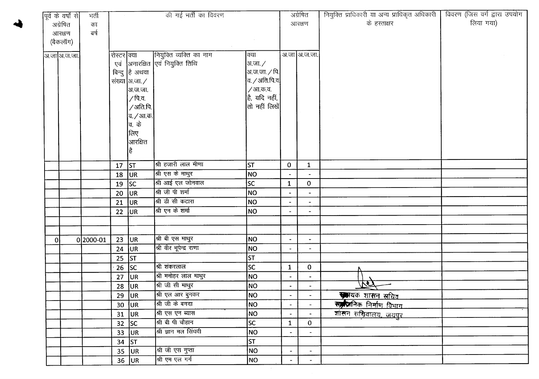|   | पूर्व के वर्षों से | भर्ती     |             |                           | की गई भर्ती का विवरण            |                        |                          | अग्रेषित                 | नियुक्ति प्राधिकारी या अन्य प्राधिकृत अधिकारी | विवरण (जिस वर्ग द्वारा उपयोग |
|---|--------------------|-----------|-------------|---------------------------|---------------------------------|------------------------|--------------------------|--------------------------|-----------------------------------------------|------------------------------|
|   | अग्रेषित           | का        |             |                           |                                 |                        |                          | आरक्षण                   | के हस्ताक्षर                                  | लिया गया)                    |
|   | आरक्षण             | নৰ্ষ      |             |                           |                                 |                        |                          |                          |                                               |                              |
|   | (बैकलॉग)           |           |             |                           |                                 |                        |                          |                          |                                               |                              |
|   | अ.जा अ.ज.जा.       |           | रोस्टर क्या |                           | नियुक्ति व्यक्ति का नाम         | क्या                   |                          | अ.जा अ.ज.जा.             |                                               |                              |
|   |                    |           |             |                           | एवं अनारक्षित एवं नियुक्ति तिथि | अ.जा. ⁄                |                          |                          |                                               |                              |
|   |                    |           |             | बिन्दु है अथवा            |                                 | अ.ज.जा. ∕ पि. <b> </b> |                          |                          |                                               |                              |
|   |                    |           |             | संख्या $ $ अ.जा. $\angle$ |                                 | व. / अति.पि.व $\vert$  |                          |                          |                                               |                              |
|   |                    |           |             | अ.ज.जा.                   |                                 | / आ.क.व.               |                          |                          |                                               |                              |
|   |                    |           |             | ∕ पि.व.                   |                                 | है, यदि नहीं,          |                          |                          |                                               |                              |
|   |                    |           |             | /अति.पि.                  |                                 | तो नहीं लिखें          |                          |                          |                                               |                              |
|   |                    |           |             | व. <i>/</i> आ.क.          |                                 |                        |                          |                          |                                               |                              |
|   |                    |           |             | वि. के                    |                                 |                        |                          |                          |                                               |                              |
|   |                    |           |             | लिए                       |                                 |                        |                          |                          |                                               |                              |
|   |                    |           |             | आरक्षित                   |                                 |                        |                          |                          |                                               |                              |
|   |                    |           |             | है                        |                                 |                        |                          |                          |                                               |                              |
|   |                    |           | 17          | ST                        | श्री हजारी लाल मीणा             | <b>ST</b>              | $\mathbf{0}$             | $\mathbf{1}$             |                                               |                              |
|   |                    |           | 18          | UR                        | श्री एस के माथुर                | <b>NO</b>              | $\hat{\phantom{a}}$      | $\blacksquare$           |                                               |                              |
|   |                    |           | 19          | <b>SC</b>                 | श्री आई एल जोनवाल               | <b>SC</b>              | $\mathbf{1}$             | $\mathbf{O}$             |                                               |                              |
|   |                    |           | 20          | UR.                       | श्री जी पी शर्मा                | NO                     | $\blacksquare$           | $\blacksquare$           |                                               |                              |
|   |                    |           | 21          | <b>UR</b>                 | श्री डी सी कटारा                | <b>NO</b>              | $\overline{\phantom{a}}$ | $\blacksquare$           |                                               |                              |
|   |                    |           | 22          | lur.                      | श्री एन के शर्मा                | NO                     |                          | $\blacksquare$           |                                               |                              |
|   |                    |           |             |                           |                                 |                        |                          |                          |                                               |                              |
|   |                    |           |             |                           |                                 |                        |                          |                          |                                               |                              |
| 0 |                    | 0 2000-01 | 23          | UR.                       | श्री बी एस माथुर                | NO                     | $\overline{\phantom{a}}$ | $\blacksquare$           |                                               |                              |
|   |                    |           | 24          | <b>JUR</b>                | श्री वीर भूपेन्द्र राणा         | <b>NO</b>              | $\overline{\phantom{a}}$ | $\blacksquare$           |                                               |                              |
|   |                    |           | 25          | <b>ST</b>                 |                                 | ST                     |                          |                          |                                               |                              |
|   |                    |           | 26          | sc                        | श्री शंकरलाल                    | lsc                    | $\mathbf{1}$             | $\mathbf 0$              |                                               |                              |
|   |                    |           | 27          | UR <sup>1</sup>           | श्री मनोहर लाल माथुर            | NO                     | $\blacksquare$           | $\blacksquare$           |                                               |                              |
|   |                    |           |             | $28$ UR                   | श्री जी सी माथुर                | <b>NO</b>              | $\bullet$                | $\blacksquare$           |                                               |                              |
|   |                    |           |             | $\overline{29}$ UR        | श्री एल आर बुनकर                | NO                     |                          |                          | स्मायक शासन सचिव                              |                              |
|   |                    |           |             | $30$ UR                   | श्री जी के बगदा                 | NO                     | $\blacksquare$           | $\overline{\phantom{a}}$ | संग्रहानिक निर्माण विभाग                      |                              |
|   |                    |           |             | $31$ UR                   | श्री एस एन ब्यास                | <b>NO</b>              | $\blacksquare$           |                          | शासन सचिवालय, जयपुर                           |                              |
|   |                    |           |             | $32$ SC                   | श्री बी पी चौहान                | <b>SC</b>              | $\mathbf{1}$             | $\mathbf 0$              |                                               |                              |
|   |                    |           |             | $33$ UR                   | श्री ज्ञान मल सिंघवी            | NO                     | $\blacksquare$           | $\blacksquare$           |                                               |                              |
|   |                    |           |             | 34 $ ST$                  |                                 | <b>ST</b>              |                          |                          |                                               |                              |
|   |                    |           |             | $35$ UR                   | श्री जी एस गुप्ता               | NO                     | $\blacksquare$           | $\blacksquare$           |                                               |                              |
|   |                    |           |             | $36$ UR                   | श्री एम एल गर्ग                 | NO                     | $\blacksquare$           | $\blacksquare$           |                                               |                              |

 $\sim$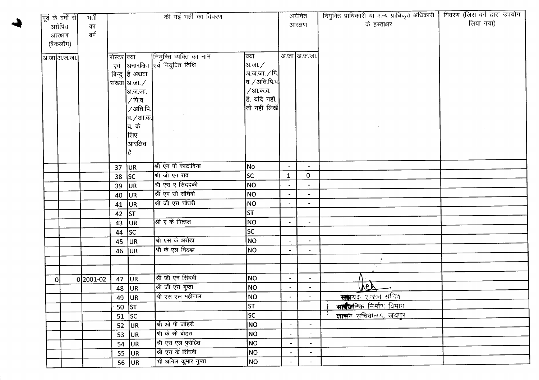|                | पूर्व के वर्षों से | भर्ती    |             |                   | की गई भर्ती का विवरण            |                                 |                          | अग्रेषित                 | नियुक्ति प्राधिकारी या अन्य प्राधिकृत अधिकारी | विवरण (जिस वर्ग द्वारा उपयोग |
|----------------|--------------------|----------|-------------|-------------------|---------------------------------|---------------------------------|--------------------------|--------------------------|-----------------------------------------------|------------------------------|
|                | अग्रेषित           | का       |             |                   |                                 |                                 |                          | आरक्षण                   | के हस्ताक्षर                                  | लिया गया)                    |
|                | आरक्षण             | ৰৰ্ষ     |             |                   |                                 |                                 |                          |                          |                                               |                              |
|                | (बैकलॉग)           |          |             |                   |                                 |                                 |                          |                          |                                               |                              |
|                | अ.जा अ.ज.जा.       |          | रोस्टर क्या |                   | नियुक्ति व्यक्ति का नाम         | क्या                            |                          | अ.जा अ.ज.जा.             |                                               |                              |
|                |                    |          |             |                   | एवं अनारक्षित एवं नियुक्ति तिथि | अ.जा. ∕                         |                          |                          |                                               |                              |
|                |                    |          |             | बिन्दु है अथवा    |                                 | अ.ज.जा. $\sqrt{\mathfrak{g}}$ . |                          |                          |                                               |                              |
|                |                    |          |             | संख्या अ.जा. ⁄    |                                 | व. ∕ अति.पि.व¦                  |                          |                          |                                               |                              |
|                |                    |          |             | अ.ज.जा.           |                                 | / आ.क.व.                        |                          |                          |                                               |                              |
|                |                    |          |             | / पि.व.           |                                 | है, यदि नहीं,                   |                          |                          |                                               |                              |
|                |                    |          |             | /अति.पि.          |                                 | तो नहीं लिखें                   |                          |                          |                                               |                              |
|                |                    |          |             | व. <i>/</i> आ.क.  |                                 |                                 |                          |                          |                                               |                              |
|                |                    |          |             | व. के             |                                 |                                 |                          |                          |                                               |                              |
|                |                    |          |             | लिए               |                                 |                                 |                          |                          |                                               |                              |
|                |                    |          |             | आरक्षित           |                                 |                                 |                          |                          |                                               |                              |
|                |                    |          |             | है                |                                 |                                 |                          |                          |                                               |                              |
|                |                    |          |             |                   | श्री एन पी काटोदिया             | No                              | $\bullet$                | $\overline{\phantom{a}}$ |                                               |                              |
|                |                    |          | 37<br>38    | <b>JUR</b><br> sc | श्री जी एन राव                  | <b>SC</b>                       | $\mathbf{1}$             | $\mathbf{0}$             |                                               |                              |
|                |                    |          | 39          | UR                | श्री एस ए सिददकी                | NO                              | $\blacksquare$           | $\blacksquare$           |                                               |                              |
|                |                    |          | 40          | UR.               | श्री एम सी संघिवी               | NO                              | $\blacksquare$           | $\blacksquare$           |                                               |                              |
|                |                    |          |             | 41 $ UR $         | श्री जी एस चौधरी                | <b>NO</b>                       | $\blacksquare$           | $\blacksquare$           |                                               |                              |
|                |                    |          | 42          | <b>ST</b>         |                                 | $\overline{\mathsf{lsr}}$       |                          |                          |                                               |                              |
|                |                    |          | 43          | UR.               | श्री ए के मित्तल                | <b>NO</b>                       | $\blacksquare$           | $\blacksquare$           |                                               |                              |
|                |                    |          | 44          | SC                |                                 | sc                              |                          |                          |                                               |                              |
|                |                    |          |             | $45$ UR           | श्री एस के अरोड़ा               | NO                              | $\blacksquare$           | $\blacksquare$           |                                               |                              |
|                |                    |          | 46          | <b>JUR</b>        | श्री के एल मिडढा                | NO                              | $\blacksquare$           | $\blacksquare$           |                                               |                              |
|                |                    |          |             |                   |                                 |                                 |                          |                          | $\bullet$                                     |                              |
|                |                    |          |             |                   |                                 |                                 |                          |                          |                                               |                              |
| $\overline{0}$ |                    | 02001-02 | 47          | <b>JUR</b>        | श्री जी एन सिंघवी               | NO                              | $\blacksquare$           | $\overline{\phantom{a}}$ |                                               |                              |
|                |                    |          | 48          | <b>JUR</b>        | श्री जी एस गुप्ता               | <b>NO</b>                       | $\blacksquare$           |                          | VOT                                           |                              |
|                |                    |          |             | 49 $ UR$          | श्री एस एल महीपाल               | NO                              | $\blacksquare$           | $\blacksquare$           | स <b>हा</b> यक शासन सचिव                      |                              |
|                |                    |          |             | $50$ ST           |                                 | ST                              |                          |                          | सार्वजनिक निर्माण विभाग                       |                              |
|                |                    |          | 51          | sc                |                                 | <b>SC</b>                       |                          |                          | शासन सचिवालय, जयपुर                           |                              |
|                |                    |          | 52          | UR <sub>1</sub>   | श्री ओ पी जौहरी                 | NO                              | $\overline{\phantom{m}}$ | $\blacksquare$           |                                               |                              |
|                |                    |          | 53          | UR.               | श्री के सी बोहरा                | NO                              | $\blacksquare$           | $\overline{\phantom{a}}$ |                                               |                              |
|                |                    |          | 54          | UR.               | श्री एस एल पुरोहित              | NO                              | $\overline{a}$           | $\overline{\phantom{a}}$ |                                               |                              |
|                |                    |          | 55          | UR                | श्री एस के सिंघवी               | NO                              | $\overline{\phantom{a}}$ | $\blacksquare$           |                                               |                              |
|                |                    |          |             | 56 $ UR $         | श्री अनिल कुमार गुप्ता          | NO                              | $\overline{\phantom{a}}$ | $\blacksquare$           |                                               |                              |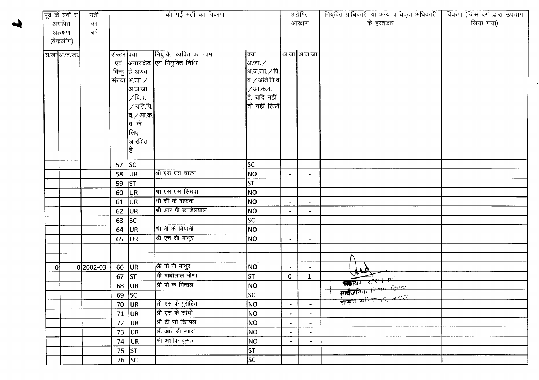|   | पूर्व के वर्षों से | भर्ती       |             |                        | की गई भर्ती का विवरण            |                       |                          | अग्रेषित                 | नियुक्ति प्राधिकारी या अन्य प्राधिकृत अधिकारी | विवरण (जिस वर्ग द्वारा उपयोग |
|---|--------------------|-------------|-------------|------------------------|---------------------------------|-----------------------|--------------------------|--------------------------|-----------------------------------------------|------------------------------|
|   | अग्रेषित           | का          |             |                        |                                 |                       |                          | आरक्षण                   | के हस्ताक्षर                                  | लिया गया)                    |
|   | आरक्षण             | बर्ष        |             |                        |                                 |                       |                          |                          |                                               |                              |
|   | (बैकलॉग)           |             |             |                        |                                 |                       |                          |                          |                                               |                              |
|   |                    |             |             |                        |                                 |                       |                          |                          |                                               |                              |
|   | अ.जा अ.ज.जा.       |             | रोस्टर क्या |                        | नियुक्ति व्यक्ति का नाम         | क्या                  |                          | अ.जा अ.ज.जा.             |                                               |                              |
|   |                    |             |             |                        | एवं अनारक्षित एवं नियुक्ति तिथि | आ.जा. $\angle$        |                          |                          |                                               |                              |
|   |                    |             |             | बिन्दु है अथवा         |                                 | अ.ज.जा. $\sqrt$ पि.   |                          |                          |                                               |                              |
|   |                    |             |             | संख्या  अ.जा. $\angle$ |                                 | व. / अति.पि.व $\vert$ |                          |                          |                                               |                              |
|   |                    |             |             | अ.ज.जा.                |                                 | /आ.क.व.               |                          |                          |                                               |                              |
|   |                    |             |             | /पि.व.                 |                                 | है, यदि नहीं,         |                          |                          |                                               |                              |
|   |                    |             |             | /अति.पि.               |                                 | तो नहीं लिखें         |                          |                          |                                               |                              |
|   |                    |             |             | व. <i>/</i> आ.क.       |                                 |                       |                          |                          |                                               |                              |
|   |                    |             |             | व. के                  |                                 |                       |                          |                          |                                               |                              |
|   |                    |             |             | लिए                    |                                 |                       |                          |                          |                                               |                              |
|   |                    |             |             | ॑आरक्षित               |                                 |                       |                          |                          |                                               |                              |
|   |                    |             |             | है                     |                                 |                       |                          |                          |                                               |                              |
|   |                    |             | 57 $ SC$    |                        |                                 | lsc.                  |                          |                          |                                               |                              |
|   |                    |             | 58          | UR.                    | श्री एस एस चारण                 | NO                    | $\overline{\phantom{a}}$ | $\blacksquare$           |                                               |                              |
|   |                    |             | 59          | ST                     |                                 | ST                    |                          |                          |                                               |                              |
|   |                    |             | 60          | UR.                    | श्री एस एस सिंघवी               | <b>NO</b>             | $\blacksquare$           | $\blacksquare$           |                                               |                              |
|   |                    |             | 61          | UR                     | श्री सी के बाफना                | NO                    |                          | $\blacksquare$           |                                               |                              |
|   |                    |             | 62          | UR                     | श्री आर पी खण्डेलवाल            | NO                    | $\bullet$                | $\blacksquare$           |                                               |                              |
|   |                    |             | 63          | sc                     |                                 | <b>SC</b>             |                          |                          |                                               |                              |
|   |                    |             | 64          | UR.                    | श्री वी के बियानी               | NO                    | $\blacksquare$           | $\blacksquare$           |                                               |                              |
|   |                    |             | $65$ UR     |                        | श्री एच सी माथुर                | NO                    | $\blacksquare$           |                          |                                               |                              |
|   |                    |             |             |                        |                                 |                       |                          |                          |                                               |                              |
|   |                    |             |             |                        |                                 |                       |                          |                          |                                               |                              |
| 0 |                    | $0 2002-03$ | 66          | UR                     | श्री पी पी माथुर                | NO                    | $\blacksquare$           | $\blacksquare$           | $4\epsilon$                                   |                              |
|   |                    |             | 67 $ ST $   |                        | श्री माधोलाल मीणा               | ST                    | $\mathbf{O}$             | $\mathbf{1}$             | सायव शासन महत्ति                              |                              |
|   |                    |             | 68 JUR      |                        | श्री पी के मित्तल               | NO                    | $\blacksquare$           | $\overline{\phantom{a}}$ | सार्वजनिक निर्णय जिम्मा                       |                              |
|   |                    |             | $69$ SC     |                        |                                 | lsc                   |                          |                          | साझन सुद्यितनम्, अस्तुत                       |                              |
|   |                    |             | 70          | <b>JUR</b>             | श्री एस के पुरोहित              | NO                    | $\blacksquare$           |                          |                                               |                              |
|   |                    |             | 71          | UR                     | श्री एस के सांघी                | NO                    | $\overline{\phantom{a}}$ | $\overline{\phantom{a}}$ |                                               |                              |
|   |                    |             |             | $72$ UR                | श्री टी सी खिम्पल               | NO                    | $\blacksquare$           | $\blacksquare$           |                                               |                              |
|   |                    |             |             | $73$ JUR               | श्री आर सी ब्यास                | NO                    | $\blacksquare$           | $\blacksquare$           |                                               |                              |
|   |                    |             |             | 74 $ UR $              | श्री अशोक कुमार                 | NO                    | $\blacksquare$           | $\bullet$                |                                               |                              |
|   |                    |             | 75 $ ST $   |                        |                                 | $\sqrt{5T}$           |                          |                          |                                               |                              |
|   |                    |             |             | 76 $ SC$               |                                 | lsc                   |                          |                          |                                               |                              |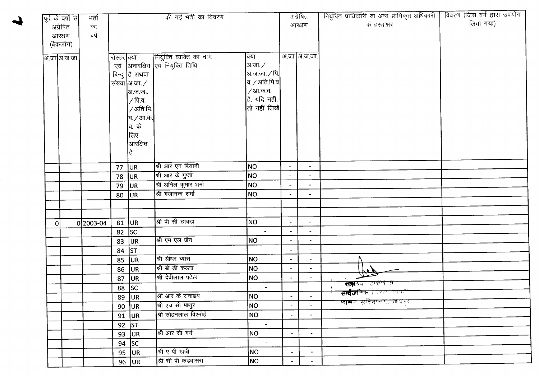|          | पूर्व के वर्षों से | भर्ती       |             |                                     | की गई भर्ती का विवरण            |                                                  |                          | अग्रेषित                     | नियुक्ति प्राधिकारी या अन्य प्राधिकृत अधिकारी | विवरण (जिस वर्ग द्वारा उपयोग |
|----------|--------------------|-------------|-------------|-------------------------------------|---------------------------------|--------------------------------------------------|--------------------------|------------------------------|-----------------------------------------------|------------------------------|
|          | अग्रेषित           | का          |             |                                     |                                 |                                                  |                          | आरक्षण                       | के हस्ताक्षर                                  | लिया गया)                    |
|          | आरक्षण             | वर्ष        |             |                                     |                                 |                                                  |                          |                              |                                               |                              |
|          | (बैकलॉग)           |             |             |                                     |                                 |                                                  |                          |                              |                                               |                              |
|          |                    |             |             |                                     |                                 |                                                  |                          |                              |                                               |                              |
|          | अ.जा अ.ज.जा.       |             | रोस्टर क्या |                                     | नियुक्ति व्यक्ति का नाम         | क्या                                             |                          | अ.जा अ.ज.जा.                 |                                               |                              |
|          |                    |             |             |                                     | एवं आनारक्षित एवं नियुक्ति तिथि | अ.जा. /                                          |                          |                              |                                               |                              |
|          |                    |             |             | बिन्दु है अथवा                      |                                 | अ.ज.जा. ∕ पि. $\vert$                            |                          |                              |                                               |                              |
|          |                    |             |             | संख्या $\vert$ अ.जा. $\angle$       |                                 | $ $ व. $\diagup$ अति.पि.व $ $                    |                          |                              |                                               |                              |
|          |                    |             |             | अ.ज.जा.                             |                                 | / आ.क.व.<br>$ \hat{\mathsf{g}} $ , यदि नहीं, $ $ |                          |                              |                                               |                              |
|          |                    |             |             | ∕ पि.व.<br>$\sqrt{3}$ ति.पि. $\mid$ |                                 | तो नहीं लिखें $\mid$                             |                          |                              |                                               |                              |
|          |                    |             |             |                                     |                                 |                                                  |                          |                              |                                               |                              |
|          |                    |             |             | व. / आ.क. $\mid$<br>व. के           |                                 |                                                  |                          |                              |                                               |                              |
|          |                    |             |             | लिए                                 |                                 |                                                  |                          |                              |                                               |                              |
|          |                    |             |             | $\vert$ आरक्षित                     |                                 |                                                  |                          |                              |                                               |                              |
|          |                    |             |             | है                                  |                                 |                                                  |                          |                              |                                               |                              |
|          |                    |             |             |                                     |                                 |                                                  |                          |                              |                                               |                              |
|          |                    |             | 77          | UR.                                 | श्री आर एन बियानी               | NO                                               | $\blacksquare$           | $\overline{\phantom{a}}$     |                                               |                              |
|          |                    |             | 78          | <b>JUR</b>                          | श्री आर के गुप्ता               | NO                                               | $\overline{a}$           | $\overline{\phantom{a}}$     |                                               |                              |
|          |                    |             | 79          | UR.                                 | श्री अनिल कुमार शर्मा           | NO                                               | $\blacksquare$           | $\overline{\phantom{a}}$     |                                               |                              |
|          |                    |             | 80          | <b>JUR</b>                          | श्री गजानन्द शर्मा              | NO                                               | $\ddot{\phantom{1}}$     | $\overline{\phantom{a}}$     |                                               |                              |
|          |                    |             |             |                                     |                                 |                                                  |                          |                              |                                               |                              |
|          |                    |             |             |                                     |                                 |                                                  |                          |                              |                                               |                              |
| $\Omega$ |                    | $0 2003-04$ | $81$ UR     |                                     | श्री पी सी छाबड़ा               | NO.                                              | $\blacksquare$           | $\blacksquare$               |                                               |                              |
|          |                    |             | 82          | SC                                  |                                 | $\blacksquare$                                   | $\blacksquare$           | $\overline{a}$               |                                               |                              |
|          |                    |             | 83          | UR                                  | श्री एम एल जैन                  | NO                                               |                          | $\blacksquare$               |                                               |                              |
|          |                    |             | 84          | $\vert$ ST                          |                                 |                                                  | $\overline{\phantom{a}}$ | $\frac{1}{2}$                |                                               |                              |
|          |                    |             | 85          | UR                                  | श्री श्रीधर ब्यास               | <b>NO</b>                                        | $\bullet$                | $\overline{\phantom{a}}$     |                                               |                              |
|          |                    |             |             | 86 JUR                              | श्री बी डी कल्ला                | NO                                               | $\blacksquare$           | $\bullet$                    |                                               |                              |
|          |                    |             | 87          | UR                                  | श्री देवीलाल पटेल               | NO                                               | $\blacksquare$           |                              |                                               |                              |
|          |                    |             |             | 88 SC                               |                                 |                                                  |                          |                              | <b>संहा</b> यक राज्यन व                       |                              |
|          |                    |             |             | $89$ UR                             | श्री आर के सनाढय                | NO                                               |                          |                              | <b>सम्बैज</b> निक हालाण विकास                 |                              |
|          |                    |             |             | $90$ UR                             | श्री एच सी माथुर                | NO                                               |                          |                              | <b>लास्कर स्त्रीताला, जयेगी</b>               |                              |
|          |                    |             |             | 91 $ UR $                           | श्री सोहनलाल विश्नोई            | NO                                               | $\blacksquare$           | $\bullet$                    |                                               |                              |
|          |                    |             |             | 92 $ ST$                            |                                 | $\omega$                                         |                          |                              |                                               |                              |
|          |                    |             |             | 93 $ UR $                           | श्री आर सी गर्ग                 | NO                                               |                          | $\qquad \qquad \blacksquare$ |                                               |                              |
|          |                    |             |             | 94 $ SC$                            |                                 | $\sim$                                           |                          |                              |                                               |                              |
|          |                    |             |             | 95 $ UR $                           | श्री ए पी खत्री                 | NO                                               |                          | $\blacksquare$               |                                               |                              |
|          |                    |             |             | $96$ JUR                            | श्री सी पी कडवासरा              | NO                                               | $\sim$                   | $\blacksquare$               |                                               |                              |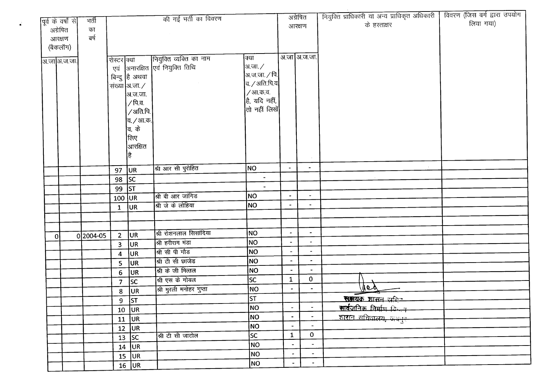|   | पूर्व के वर्षों से    | भर्ती     |                         |                                                      | की गई भर्ती का विवरण               |                          |                                  | अग्रेषित                                   | नियुक्ति प्राधिकारी या अन्य प्राधिकृत अधिकारी                | विवरण (जिस वर्ग द्वारा उपयोग<br>लिया गया) |
|---|-----------------------|-----------|-------------------------|------------------------------------------------------|------------------------------------|--------------------------|----------------------------------|--------------------------------------------|--------------------------------------------------------------|-------------------------------------------|
|   | अग्रेषित              | का        |                         |                                                      |                                    |                          |                                  | आरक्षण                                     | के हस्ताक्षर                                                 |                                           |
|   | आरक्षण                | बर्ष      |                         |                                                      |                                    |                          |                                  |                                            |                                                              |                                           |
|   | (बैकलॉग)              |           |                         |                                                      |                                    |                          |                                  |                                            |                                                              |                                           |
|   |                       |           | रोस्टर क्या             |                                                      | नियुक्ति व्यक्ति का नाम            | क्या                     |                                  | अ.जा अ.ज.जा.                               |                                                              |                                           |
|   | <u>ञि.जा</u> ञि.ज.जा. |           |                         |                                                      | एवं अनारक्षित एवं नियुक्ति तिथि    | अ.जा. ∕                  |                                  |                                            |                                                              |                                           |
|   |                       |           |                         | बिन्दु है अथवा                                       |                                    | अ.ज.जा. $/$ पि.          |                                  |                                            |                                                              |                                           |
|   |                       |           |                         | संख्या अ.जा. $\angle$                                |                                    | $\sigma$ / अति.पि.व      |                                  |                                            |                                                              |                                           |
|   |                       |           |                         | अ.ज.जा.                                              |                                    | / आ.क.व.                 |                                  |                                            |                                                              |                                           |
|   |                       |           |                         | ∕ पि.व.                                              |                                    | है, यदि नहीं,            |                                  |                                            |                                                              |                                           |
|   |                       |           |                         | /अति.पि.                                             |                                    | तो नहीं लिखें            |                                  |                                            |                                                              |                                           |
|   |                       |           |                         | व. <i>/</i> आ.क.                                     |                                    |                          |                                  |                                            |                                                              |                                           |
|   |                       |           |                         | वि. के                                               |                                    |                          |                                  |                                            |                                                              |                                           |
|   |                       |           |                         | लिए                                                  |                                    |                          |                                  |                                            |                                                              |                                           |
|   |                       |           |                         | आरक्षित                                              |                                    |                          |                                  |                                            |                                                              |                                           |
|   |                       |           |                         | है                                                   |                                    |                          |                                  |                                            |                                                              |                                           |
|   |                       |           | 97                      | UR.                                                  | श्री आर सी पुरोहित                 | NO                       |                                  | $\blacksquare$                             |                                                              |                                           |
|   |                       |           | 98                      | sc                                                   |                                    | $\blacksquare$           |                                  |                                            |                                                              |                                           |
|   |                       |           | 99                      | $\overline{\mathsf{s}\mathsf{\scriptscriptstyle T}}$ |                                    | $\blacksquare$           |                                  |                                            |                                                              |                                           |
|   |                       |           | $100$ UR                |                                                      | श्री बी आर जांगिड                  | NO                       | $\bullet$                        | $\blacksquare$                             |                                                              |                                           |
|   |                       |           | $\mathbf{1}$            | UR                                                   | श्री जे के लोहिया                  | <b>NO</b>                | $\overline{\phantom{a}}$         |                                            |                                                              |                                           |
|   |                       |           |                         |                                                      |                                    |                          |                                  |                                            |                                                              |                                           |
|   |                       |           |                         |                                                      |                                    |                          |                                  |                                            |                                                              |                                           |
| 0 |                       | 0 2004-05 | $2^{\circ}$             | UR.                                                  | श्री रोशनलाल सिसांदिया             | NO                       | $\blacksquare$<br>$\blacksquare$ | $\blacksquare$<br>$\overline{\phantom{a}}$ |                                                              |                                           |
|   |                       |           | 3 <sup>2</sup>          | UR                                                   | श्री हरीराम मंडा                   | NO <sub>1</sub><br>NO    |                                  | $\overline{\phantom{a}}$                   |                                                              |                                           |
|   |                       |           | $\overline{\mathbf{4}}$ | UR                                                   | श्री सी पी गौड<br>श्री टी सी छाजेड | <b>NO</b>                | $\blacksquare$<br>$\blacksquare$ | $\overline{\phantom{a}}$                   |                                                              |                                           |
|   |                       |           | 5                       | <b>JUR</b>                                           | श्री के जी मित्तल                  | NO                       | $\blacksquare$                   | $\blacksquare$                             |                                                              |                                           |
|   |                       |           | 6                       | <b>JUR</b>                                           | श्री एस के गोयल                    | <b>SC</b>                | $\mathbf{1}$                     | $\mathbf{0}$                               |                                                              |                                           |
|   |                       |           | $\overline{7}$          | sc                                                   | श्री मुरली मनोहर गुप्ता            | NO                       | $\bullet$                        | $\tilde{\phantom{a}}$                      | $he\lambda$                                                  |                                           |
|   |                       |           | 8                       | UR                                                   |                                    | ST                       |                                  |                                            |                                                              |                                           |
|   |                       |           |                         | $9$ ST                                               |                                    | NO                       | $\blacksquare$                   | $\overline{\phantom{a}}$                   | <u>सञ्जयक शासन सदिल </u><br><u>सार्वजनिक निर्माण किन्तुम</u> |                                           |
|   |                       |           |                         | $10$ UR                                              |                                    | NO                       | $\qquad \qquad \blacksquare$     | $\hbox{\small -}$                          |                                                              |                                           |
|   |                       |           |                         | $11$ UR                                              |                                    | NO                       | $\overline{\phantom{a}}$         | $\blacksquare$                             |                                                              |                                           |
|   |                       |           | 12                      | UR                                                   | श्री टी सी जाटोल                   | $\overline{\mathsf{sc}}$ | $\mathbf{1}$                     | $\mathbf 0$                                |                                                              |                                           |
|   |                       |           |                         | $\overline{13}$ SC                                   |                                    | NO                       | $\overline{\phantom{a}}$         | $\blacksquare$                             |                                                              |                                           |
|   |                       |           |                         | $14$ UR                                              |                                    | NO                       | $\bullet$                        | $\blacksquare$                             |                                                              |                                           |
|   |                       |           |                         | $15$ UR                                              |                                    | NO                       | $\overline{\phantom{a}}$         | $\overline{\phantom{a}}$                   |                                                              |                                           |
|   |                       |           |                         | $16$ UR                                              |                                    |                          |                                  |                                            |                                                              |                                           |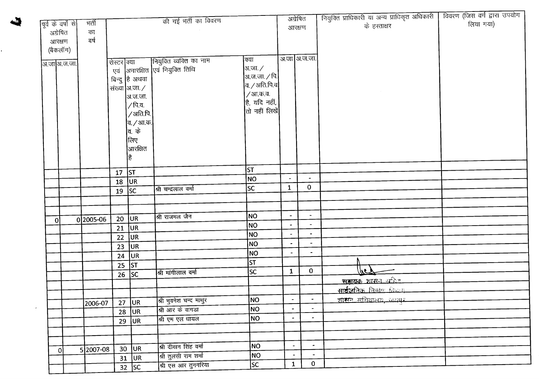| पूर्व के वर्षों से | मर्ती     |             |                                   | की गई भर्ती का विवरण            |                                                        |                          | अग्रेषित                      | नियुक्ति प्राधिकारी या अन्य प्राधिकृत अधिकारी<br>विवरण (जिस वर्ग द्वारा उपयोग |
|--------------------|-----------|-------------|-----------------------------------|---------------------------------|--------------------------------------------------------|--------------------------|-------------------------------|-------------------------------------------------------------------------------|
| अग्रेषित           | का        |             |                                   |                                 |                                                        |                          | आरक्षण                        | लिया गया)<br>के हस्ताक्षर                                                     |
| आरक्षण             | बर्ष      |             |                                   |                                 |                                                        |                          |                               |                                                                               |
| (बैकलॉग)           |           |             |                                   |                                 |                                                        |                          |                               |                                                                               |
| अ.जा अ.ज.जा.       |           | रोस्टर क्या |                                   | नियुक्ति व्यक्ति का नाम         | क्या                                                   |                          | अ.जा आ.ज.जा.                  |                                                                               |
|                    |           |             |                                   | एवं आनारक्षित एवं नियुक्ति तिथि | अ.जा. ∕                                                |                          |                               |                                                                               |
|                    |           |             | बिन्दु हि अथवा                    |                                 | अ.ज.जा. ∕ पि. <mark> </mark><br>$a$ / अति.पि.व $\vert$ |                          |                               |                                                                               |
|                    |           |             | संख्या आ.जा. $\angle$<br> अ.ज.जा. |                                 | /आ.क.व.                                                |                          |                               |                                                                               |
|                    |           |             | ∕ पि.व.                           |                                 | है, यदि नहीं,                                          |                          |                               |                                                                               |
|                    |           |             | /अति.पि. <sup>!</sup>             |                                 | तो नहीं लिखें                                          |                          |                               |                                                                               |
|                    |           |             | व. <i>/</i> आ.क.                  |                                 |                                                        |                          |                               |                                                                               |
|                    |           |             | व. के                             |                                 |                                                        |                          |                               |                                                                               |
|                    |           |             | लिए                               |                                 |                                                        |                          |                               |                                                                               |
|                    |           |             | आरक्षित                           |                                 |                                                        |                          |                               |                                                                               |
|                    |           |             | है                                |                                 |                                                        |                          |                               |                                                                               |
|                    |           | 17 $ ST $   |                                   |                                 | ST                                                     |                          |                               |                                                                               |
|                    |           | 18          | UR                                |                                 | <b>NO</b>                                              | $\bullet$                | $\rightarrow$<br>$\mathbf{O}$ |                                                                               |
|                    |           | 19 $ SC$    |                                   | श्री चन्द्रलाल वर्मा            | <b>SC</b>                                              | $\mathbf{1}$             |                               |                                                                               |
|                    |           |             |                                   |                                 |                                                        |                          |                               |                                                                               |
|                    |           |             |                                   | श्री राजमल जैन                  | <b>NO</b>                                              | $\blacksquare$           | $\bullet$                     |                                                                               |
| 0                  | 0 2005-06 | 20          | <b>JUR</b>                        |                                 | NO                                                     | $\ddot{\phantom{0}}$     | $\overline{\phantom{a}}$      |                                                                               |
|                    |           | 21          | UR.<br><b>JUR</b>                 |                                 | NO                                                     | $\overline{\phantom{a}}$ | $\overline{\phantom{a}}$      |                                                                               |
|                    |           | 22<br>23    | UR                                |                                 | NO                                                     | $\overline{\phantom{a}}$ |                               |                                                                               |
|                    |           | 24          | <b>JUR</b>                        |                                 | NO                                                     |                          |                               |                                                                               |
|                    |           |             | 25 $ ST $                         |                                 | ST                                                     |                          |                               |                                                                               |
|                    |           |             | $\overline{26}$ SC                | श्री मांगीलाल वर्मा             | SC.                                                    | $\mathbf{1}$             | $\mathbf{0}$                  | اروا                                                                          |
|                    |           |             |                                   |                                 |                                                        |                          |                               | <u>सम्रायक शासन अमिन</u>                                                      |
|                    |           |             |                                   |                                 |                                                        |                          |                               | <u>सार्वजनिक निर्माण विभाग</u>                                                |
|                    | 2006-07   |             |                                   | 27 UR श्री भुवनेश चन्द माथुर    | NO                                                     | $\sim$                   |                               | शासन सुरिद्यालय उत्सवह<br>13.                                                 |
|                    |           |             | $28$ UR                           | श्री आर के वागडा                | NO                                                     | $\blacksquare$           | $\sim$                        |                                                                               |
|                    |           |             | $29$ UR                           | श्री एम एल धायल                 | NO                                                     | $\blacksquare$           | $\bullet$                     |                                                                               |
|                    |           |             |                                   |                                 |                                                        |                          |                               |                                                                               |
|                    |           |             |                                   | श्री दीवान सिंह वर्मा           | NO                                                     | $\blacksquare$           | $\bullet$ .                   |                                                                               |
| οl                 | 5 2007-08 |             | $30$ UR                           | श्री तुलसी राम शर्मा            | NO                                                     | $\blacksquare$           | $\blacksquare$                |                                                                               |
|                    |           |             | $31$ UR<br>$32$ SC                | श्री एस आर तुनगरिया             | sc                                                     | $\mathbf{1}$             | $\mathbf{0}$                  |                                                                               |
|                    |           |             |                                   |                                 |                                                        |                          |                               |                                                                               |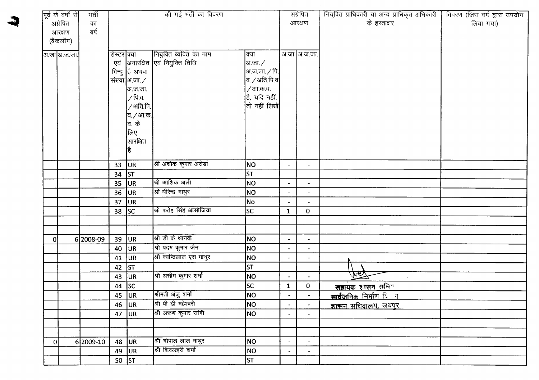|    | पूर्व के वर्षों से | भर्ती     |             |                  | की गई भर्ती का विवरण             |                      |                          | अग्रेषित                 | नियुक्ति प्राधिकारी या अन्य प्राधिकृत अधिकारी | विवरण (जिस वर्ग द्वारा उपयोग |
|----|--------------------|-----------|-------------|------------------|----------------------------------|----------------------|--------------------------|--------------------------|-----------------------------------------------|------------------------------|
|    | अग्रेषित           | का        |             |                  |                                  |                      |                          | आरक्षण                   | के हस्ताक्षर                                  | लिया गया)                    |
|    | आरक्षण             | बर्ष      |             |                  |                                  |                      |                          |                          |                                               |                              |
|    | (बैकलॉग)           |           |             |                  |                                  |                      |                          |                          |                                               |                              |
|    |                    |           |             |                  |                                  |                      |                          |                          |                                               |                              |
|    | आ़जा अ.ज.जा.       |           | रोस्टर क्या |                  | नियुक्ति व्यक्ति का नाम          | क्या                 |                          | अ.जा अ.ज.जा.             |                                               |                              |
|    |                    |           |             |                  | एवं  अनारक्षित एवं नियुक्ति तिथि | अ.जा. ∕              |                          |                          |                                               |                              |
|    |                    |           |             | बिन्दु है अथवा   |                                  | अ.ज.जा. ∕ पि.        |                          |                          |                                               |                              |
|    |                    |           |             | संख्या अ.जा./    |                                  | $a$ . / अति.पि.व $l$ |                          |                          |                                               |                              |
|    |                    |           |             | ]अ.ज.जा.         |                                  | ⁄ आ.क.व.             |                          |                          |                                               |                              |
|    |                    |           |             | ∕ पि.व.          |                                  | है, यदि नहीं,        |                          |                          |                                               |                              |
|    |                    |           |             | /अति.पि.         |                                  | तो नहीं लिखें        |                          |                          |                                               |                              |
|    |                    |           |             | व. <i>/</i> आ.क. |                                  |                      |                          |                          |                                               |                              |
|    |                    |           |             | वि. के           |                                  |                      |                          |                          |                                               |                              |
|    |                    |           |             | लिए              |                                  |                      |                          |                          |                                               |                              |
|    |                    |           |             | आरक्षित          |                                  |                      |                          |                          |                                               |                              |
|    |                    |           |             | है               |                                  |                      |                          |                          |                                               |                              |
|    |                    |           | 33 $ UR $   |                  | श्री अशोक कुमार अरोडा            | NO                   | $\blacksquare$           | $\overline{\phantom{a}}$ |                                               |                              |
|    |                    |           | 34          | <b>ST</b>        |                                  | <b>ST</b>            |                          |                          |                                               |                              |
|    |                    |           | 35          | UR.              | श्री आशिक अली                    | NO                   | $\blacksquare$           | $\blacksquare$           |                                               |                              |
|    |                    |           | 36          | UR.              | श्री धीरेन्द्र माथुर             | NO                   | $\overline{\phantom{a}}$ | $\hat{\phantom{a}}$      |                                               |                              |
|    |                    |           | 37          | UR               |                                  | No                   |                          |                          |                                               |                              |
|    |                    |           | 38          | lsc              | श्री फतेह सिंह आसोजिया           | <b>SC</b>            | $\mathbf{1}$             | $\mathbf{0}$             |                                               |                              |
|    |                    |           |             |                  |                                  |                      |                          |                          |                                               |                              |
|    |                    |           |             |                  |                                  |                      |                          |                          |                                               |                              |
| οl |                    | 6 2008-09 | 39          | UR               | श्री डी के थानवी                 | <b>NO</b>            | $\blacksquare$           | $\blacksquare$           |                                               |                              |
|    |                    |           | 40          | UR               | श्री पदम कुमार जैन               | NO                   | $\blacksquare$           | $\blacksquare$           |                                               |                              |
|    |                    |           | 41          | UR               | श्री कान्तिलाल एस माथुर          | <b>NO</b>            | $\blacksquare$           | $\blacksquare$           |                                               |                              |
|    |                    |           | 42          | ST               |                                  | <b>ST</b>            |                          |                          |                                               |                              |
|    |                    |           | 43          | UR.              | श्री असीम कुमार शर्मा            | NO                   | $\overline{\phantom{a}}$ | $\overline{\phantom{0}}$ | trat                                          |                              |
|    |                    |           | 44          | <b>SC</b>        |                                  | <b>SC</b>            | $\mathbf{1}$             | 0                        | <u>राज्ञयक शासन सचित्र</u>                    |                              |
|    |                    |           |             | 45 $ UR$         | श्रीमती अंजु शर्मा               | <b>NO</b>            |                          |                          | सार्वजनिक निर्माण <u>ि न</u>                  |                              |
|    |                    |           | 46          | UR               | श्री बी डी महेश्वरी              | NO                   | $\blacksquare$           | $\blacksquare$           | शासन सचिवालय, जयपुर                           |                              |
|    |                    |           | 47          | UR.              | श्री अरूण कुमार सांगी            | <b>NO</b>            | $\overline{\phantom{0}}$ | $\blacksquare$           |                                               |                              |
|    |                    |           |             |                  |                                  |                      |                          |                          |                                               |                              |
|    |                    |           |             |                  |                                  |                      |                          |                          |                                               |                              |
| 0  |                    | 6 2009-10 | 48          | UR.              | श्री गोपाल लाल माथुर             | NO                   | $\blacksquare$           | $\blacksquare$           |                                               |                              |
|    |                    |           | 49          | UR               | श्री शिवलहरी शर्मा               | NO                   | $\blacksquare$           | $\tilde{\phantom{a}}$    |                                               |                              |
|    |                    |           |             | $50$ ST          |                                  | lst.                 |                          |                          |                                               |                              |

 $\mathcal{L}$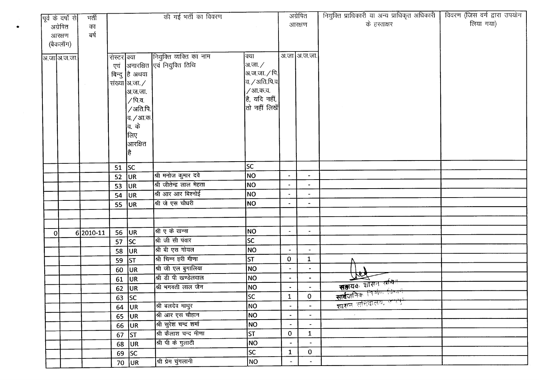|          |                                 | भर्ती     |             |                | की गई भर्ती का विवरण        |                                |                          | अग्रेषित                 | नियुक्ति प्राधिकारी या अन्य प्राधिकृत अधिकारी | विवरण (जिस वर्ग द्वारा उपयोग |
|----------|---------------------------------|-----------|-------------|----------------|-----------------------------|--------------------------------|--------------------------|--------------------------|-----------------------------------------------|------------------------------|
|          | पूर्व के वर्षों से <br>अग्रेषित | का        |             |                |                             |                                |                          | आरक्षण                   | के हस्ताक्षर                                  | लिया गया)                    |
|          | आरक्षण                          | ৰৰ্ষ      |             |                |                             |                                |                          |                          |                                               |                              |
|          | (बैकलॉग)                        |           |             |                |                             |                                |                          |                          |                                               |                              |
|          |                                 |           |             |                |                             |                                |                          |                          |                                               |                              |
|          | अ.जा अ.ज.जा.                    |           | रोस्टर क्या |                | नियुक्ति व्यक्ति का नाम     | क्या                           |                          | अ.जा आ.ज.जा.             |                                               |                              |
|          |                                 |           | एवं         |                | अनारक्षित एवं नियुक्ति तिथि | अ.जा. /                        |                          |                          |                                               |                              |
|          |                                 |           |             | बिन्दु है अथवा |                             | अ.ज.जा. ⁄ पि. <b> </b>         |                          |                          |                                               |                              |
|          |                                 |           |             | संख्या आ.जा. / |                             | व. / अति.पि.व $\vert$          |                          |                          |                                               |                              |
|          |                                 |           |             | अ.ज.जा.        |                             | / आ.क.व.                       |                          |                          |                                               |                              |
|          |                                 |           |             | /पि.व.         |                             | है, यदि नहीं,<br>तो नहीं लिखें |                          |                          |                                               |                              |
|          |                                 |           |             | /अति.पि.       |                             |                                |                          |                          |                                               |                              |
|          |                                 |           |             | व. ∕ आ.क.'     |                             |                                |                          |                          |                                               |                              |
|          |                                 |           |             | व. के<br>लिए   |                             |                                |                          |                          |                                               |                              |
|          |                                 |           |             | आरक्षित        |                             |                                |                          |                          |                                               |                              |
|          |                                 |           |             | है             |                             |                                |                          |                          |                                               |                              |
|          |                                 |           |             |                |                             |                                |                          |                          |                                               |                              |
|          |                                 |           | $51$ SC     |                |                             | SC.                            |                          |                          |                                               |                              |
|          |                                 |           | 52          | UR             | श्री मनोज कुमार दवे         | NO                             |                          | $\blacksquare$           |                                               |                              |
|          |                                 |           | 53          | UR             | श्री जीतेन्द्र लाल मेहता    | NO                             |                          | $\blacksquare$           |                                               |                              |
|          |                                 |           | 54          | ∪R             | श्री आर आर बिश्नोई          | NO.                            | $\overline{\phantom{a}}$ | $\blacksquare$           |                                               |                              |
|          |                                 |           | $55$ UR     |                | श्री जे एस चौधरी            | <b>NO</b>                      |                          | $\blacksquare$           |                                               |                              |
|          |                                 |           |             |                |                             |                                |                          |                          |                                               |                              |
|          |                                 |           |             |                |                             |                                |                          |                          |                                               |                              |
| $\Omega$ |                                 | 6 2010-11 | 56          | <b>JUR</b>     | श्री ए के खन्ना             | NO                             | $\overline{\phantom{a}}$ | $\overline{\phantom{a}}$ |                                               |                              |
|          |                                 |           | 57          | <b>SC</b>      | श्री जी सी पंवार            | <b>SC</b>                      |                          |                          |                                               |                              |
|          |                                 |           | 58          | UR             | श्री बी एस गोयल             | NO                             | $\blacksquare$           | $\blacksquare$           |                                               |                              |
|          |                                 |           | 59          | ST             | श्री चिन्न हरी मीणा         | <b>ST</b>                      | $\mathbf{O}$             | $\mathbf{1}$             |                                               |                              |
|          |                                 |           | 60          | UR.            | श्री जी एल बुगालिया         | NO                             | $\blacksquare$           | $\bullet$                | $\overline{\mathcal{R}}$                      |                              |
|          |                                 |           | 61          | <b>JUR</b>     | श्री डी पी खण्डेलवाल        | NO                             | $\overline{\phantom{a}}$ | ٠                        | सत्तायक शॉसन <del>अधि</del>                   |                              |
|          |                                 |           |             | $62$ UR        | श्री भगवती लाल जैन          | <b>NO</b>                      | $\bullet$                | $\blacksquare$           | सार्वजनिक चिर्णाण जिमान                       |                              |
|          |                                 |           |             | 63 SC          |                             | $ \overline{SC} $              | $\mathbf{1}$             | $\pmb{0}$                | <u>शासन सुरिवालय, अध्यक</u> ु                 |                              |
|          |                                 |           | 64          | UR             | श्री बलदेव माथुर            | NO                             | $\blacksquare$           |                          |                                               |                              |
|          |                                 |           |             | 65 $ UR $      | श्री आर एस चौहान            | NO                             | $\bullet$                |                          |                                               |                              |
|          |                                 |           |             | $66$ UR        | श्री सुरेश चन्द्र शर्मा     | <b>NO</b>                      |                          |                          |                                               |                              |
|          |                                 |           |             | $67$ ST        | श्री कैलाश चन्द मीणा        | ST                             | $\mathbf{O}$             | $\mathbf{1}$             |                                               |                              |
|          |                                 |           |             | $68$ UR        | श्री पी के गुलाटी           | NO                             |                          |                          |                                               |                              |
|          |                                 |           |             | $69$ SC        |                             | lsc                            | $\mathbf{1}$             | $\mathbf{0}$             |                                               |                              |
|          |                                 |           |             | $70$ UR        | श्री प्रेम चुंगलानी         | NO                             | $\overline{\phantom{a}}$ | $\blacksquare$           |                                               |                              |

•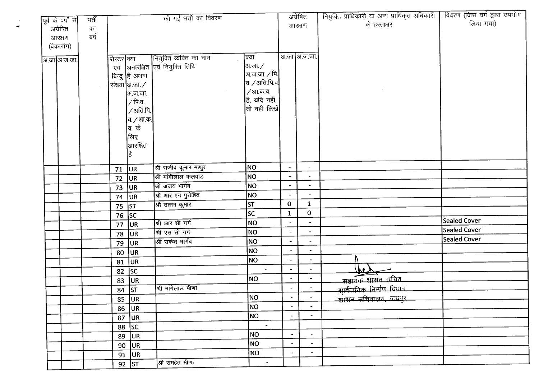| पूर्व के वर्षों से             | मर्ती      |                    |                                                                                                                                        | की गई भर्ती का विवरण                                   |                                                                                                                      |                | अग्रेषित       | नियुक्ति प्राधिकारी या अन्य प्राधिकृत अधिकारी | विवरण (जिस वर्ग द्वारा उपयोग |
|--------------------------------|------------|--------------------|----------------------------------------------------------------------------------------------------------------------------------------|--------------------------------------------------------|----------------------------------------------------------------------------------------------------------------------|----------------|----------------|-----------------------------------------------|------------------------------|
| अग्रेषित<br>आरक्षण<br>(बैकलॉग) | का<br>ਕर्ष |                    |                                                                                                                                        |                                                        |                                                                                                                      |                | आरक्षण         | के हस्ताक्षर                                  | लिया गया)                    |
| <u>आजाञ्जिजा</u>               |            | रोस्टर क्या<br>एवं | बिन्दु है अथवा<br>संख्या अ.जा.∕<br> अ.ज.जा.<br>∕ पि.व.<br>∕ अति.पि.∣<br> व. ⁄ आ.क. <b> </b><br><b>बि.</b> के<br> लिए<br> आरक्षित<br>है | नियुक्ति व्यक्ति का नाम<br>अनारक्षित एवं नियुक्ति तिथि | क्या<br> अ.जा. ∕<br>अ.ज.जा. $\sqrt{\mathfrak{p}}$<br>व. / अति.पि.व $\,$<br>/आ.क.व.<br>है, यदि नहीं,<br>तो नहीं लिखें |                | अ.जा अ.ज.जा.   |                                               |                              |
|                                |            | 71                 | <b>JUR</b>                                                                                                                             | श्री राजीव कुमार माथुर                                 | NO                                                                                                                   | $\blacksquare$ | $\sim$         |                                               |                              |
|                                |            | 72                 | <b>JUR</b>                                                                                                                             | श्री मांगीलाल कलवाड                                    | NO                                                                                                                   |                |                |                                               |                              |
|                                |            | 73 UR              |                                                                                                                                        | श्री अजय भार्गव                                        | <b>NO</b>                                                                                                            |                |                |                                               |                              |
|                                |            | 74                 | UR                                                                                                                                     | श्री आर एन पुरोहित                                     | NO                                                                                                                   |                |                |                                               |                              |
|                                |            | 75 $ ST $          |                                                                                                                                        | श्री उत्तम कुमार                                       | ST                                                                                                                   | $\mathbf{0}$   | $\mathbf{1}$   |                                               |                              |
|                                |            | $\overline{76}$ SC |                                                                                                                                        |                                                        | <b>SC</b>                                                                                                            | $\mathbf 1$    | $\bf{0}$       |                                               |                              |
|                                |            |                    | $77$ UR                                                                                                                                | श्री आर सी गर्ग                                        | NO <sub>1</sub>                                                                                                      |                |                |                                               | <b>Sealed Cover</b>          |
|                                |            | 78                 | <b>JUR</b>                                                                                                                             | श्री एस सी गर्ग                                        | NO                                                                                                                   |                |                |                                               | Sealed Cover                 |
|                                |            | 79                 | <b>JUR</b>                                                                                                                             | श्री राकेश भार्गव                                      | NO                                                                                                                   |                | $\blacksquare$ |                                               | <b>Sealed Cover</b>          |
|                                |            | 80                 | <b>JUR</b>                                                                                                                             |                                                        | NO                                                                                                                   |                | $\blacksquare$ |                                               |                              |
|                                |            |                    | $81$ UR                                                                                                                                |                                                        | NO                                                                                                                   |                | $\blacksquare$ |                                               |                              |
|                                |            |                    | 82 $ SC$                                                                                                                               |                                                        | $\blacksquare$                                                                                                       | $\blacksquare$ |                | هيط                                           |                              |
|                                |            | 83                 | UR                                                                                                                                     |                                                        | NO                                                                                                                   | $\blacksquare$ | $\blacksquare$ | सबायक शासन सचित                               |                              |
|                                |            |                    | 84 ST                                                                                                                                  | श्री मांगेलाल मीणा                                     |                                                                                                                      |                |                | सार्वजनिक निर्माण विभाग                       |                              |
|                                |            |                    | $85$ UR                                                                                                                                |                                                        | <b>NO</b>                                                                                                            | $\sim$         |                | <del>शासन सचि</del> वालय, जयपुर               |                              |
|                                |            |                    | $86$ UR                                                                                                                                |                                                        | NO                                                                                                                   | $\blacksquare$ | $\blacksquare$ |                                               |                              |
|                                |            |                    | 87 $ UR $                                                                                                                              |                                                        | NO                                                                                                                   | $\sim$         | $\sim$         |                                               |                              |
|                                |            |                    | 88 $ SC $                                                                                                                              |                                                        | $\sim$                                                                                                               |                |                |                                               |                              |
|                                |            |                    | $89$ UR                                                                                                                                |                                                        | NO                                                                                                                   | $\sim$         | $\sim$         |                                               |                              |
|                                |            |                    | 90 $ UR $                                                                                                                              |                                                        | NO                                                                                                                   | $\blacksquare$ | $\sim$         |                                               |                              |
|                                |            |                    | 91 $ UR $                                                                                                                              |                                                        | NO                                                                                                                   | $\blacksquare$ | $\sim$         |                                               |                              |
|                                |            |                    | $92$ ST                                                                                                                                | श्री रामहेत मीणा                                       | $\blacksquare$                                                                                                       |                |                |                                               |                              |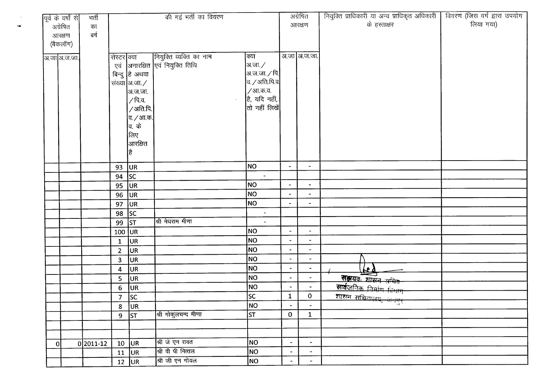|                | पूर्व के वर्षों से | भर्ती       |                  |                                   | की गई भर्ती का विवरण            |                          |                          | अग्रेषित                     | नियुक्ति प्राधिकारी या अन्य प्राधिकृत अधिकारी | विवरण (जिस वर्ग द्वारा उपयोग |
|----------------|--------------------|-------------|------------------|-----------------------------------|---------------------------------|--------------------------|--------------------------|------------------------------|-----------------------------------------------|------------------------------|
| अग्रेषित       |                    | का          |                  |                                   |                                 |                          |                          | आरक्षण                       | के हस्ताक्षर                                  | लिया गया)                    |
| आरक्षण         |                    | बर्ष        |                  |                                   |                                 |                          |                          |                              |                                               |                              |
|                | (बैकलॉग)           |             |                  |                                   |                                 |                          |                          |                              |                                               |                              |
|                | अ.जा अ.ज.जा.       |             | रोस्टर क्या      |                                   | [नियुक्ति व्यक्ति का नाम        | क्या                     |                          | अ.जा अ.ज.जा.                 |                                               |                              |
|                |                    |             |                  |                                   | एवं अनारक्षित एवं नियुक्ति तिथि | अ.जा.∕                   |                          |                              |                                               |                              |
|                |                    |             |                  | बिन्दु है अथवा                    |                                 | अ.ज.जा. $\angle$ पि.     |                          |                              |                                               |                              |
|                |                    |             |                  | संख्या  अ.जा. $\angle$            |                                 | $a /$ अति.पि.व $ $       |                          |                              |                                               |                              |
|                |                    |             |                  | अ.ज.जा.                           |                                 | /आ.क.व.                  |                          |                              |                                               |                              |
|                |                    |             |                  | ∕ पि.व.                           |                                 | है, यदि नहीं,            |                          |                              |                                               |                              |
|                |                    |             |                  | /अति.पि.                          |                                 | तो नहीं लिखें $\vert$    |                          |                              |                                               |                              |
|                |                    |             |                  | व. / आ.क. $\mid$                  |                                 |                          |                          |                              |                                               |                              |
|                |                    |             |                  | व. के                             |                                 |                          |                          |                              |                                               |                              |
|                |                    |             |                  | किए                               |                                 |                          |                          |                              |                                               |                              |
|                |                    |             |                  | आरक्षित                           |                                 |                          |                          |                              |                                               |                              |
|                |                    |             |                  | है                                |                                 |                          |                          |                              |                                               |                              |
|                |                    |             |                  |                                   |                                 | NO                       | $\blacksquare$           | $\blacksquare$               |                                               |                              |
|                |                    |             | 93<br>94         | UR <sub>1</sub><br> sc            |                                 | $\blacksquare$           |                          |                              |                                               |                              |
|                |                    |             | 95               | UR                                |                                 | NO.                      | $\blacksquare$           | $\bullet$                    |                                               |                              |
|                |                    |             | 96               | UR                                |                                 | NO                       |                          | $\bullet$                    |                                               |                              |
|                |                    |             | 97               | UR <sub></sub>                    |                                 | NO                       |                          |                              |                                               |                              |
|                |                    |             | 98               | SC                                |                                 | $\overline{\phantom{a}}$ |                          |                              |                                               |                              |
|                |                    |             | 99               | $\overline{\mathsf{S}\mathsf{T}}$ | श्री मेघराम मीणा                | $\blacksquare$           |                          |                              |                                               |                              |
|                |                    |             | $100$ UR         |                                   |                                 | NO                       | $\tilde{\phantom{a}}$    | $\overline{\phantom{a}}$     |                                               |                              |
|                |                    |             | $\mathbf{1}$     | <b>JUR</b>                        |                                 | <b>NO</b>                | $\blacksquare$           | $\blacksquare$               |                                               |                              |
|                |                    |             | $\overline{2}$   | UR                                |                                 | NO                       |                          | $\qquad \qquad \blacksquare$ |                                               |                              |
|                |                    |             | 3                | UR                                |                                 | NO                       | $\blacksquare$           | $\blacksquare$               |                                               |                              |
|                |                    |             | 4                | UR.                               |                                 | NO                       | ۰                        | $\blacksquare$               | <u>ted</u>                                    |                              |
|                |                    |             | 5                | UR.                               |                                 | NO                       | $\blacksquare$           | $\overline{\phantom{a}}$     | सम्रयतः शासन सचिव                             |                              |
|                |                    |             | $\boldsymbol{6}$ | UR.                               |                                 | NO                       | $\blacksquare$           | $\blacksquare$               | सार्वजनिक निर्माण चिभाग                       |                              |
|                |                    |             | 7 <sup>2</sup>   | $\overline{\mathsf{S}\mathsf{C}}$ |                                 | <b>SC</b>                | $\mathbf{1}$             | $\mathbf{0}$                 |                                               |                              |
|                |                    |             | 8                | UR                                |                                 | NO                       | $\blacksquare$           | $\blacksquare$               |                                               |                              |
|                |                    |             | $\overline{9}$   | ST                                | श्री गोकुलचन्द मीणा             | ST                       | $\mathbf{0}$             | $\mathbf{1}$                 |                                               |                              |
|                |                    |             |                  |                                   |                                 |                          |                          |                              |                                               |                              |
|                |                    |             |                  |                                   |                                 |                          |                          |                              |                                               |                              |
| $\overline{0}$ |                    | $0 2011-12$ | 10               | UR.                               | श्री जे एन रावत                 | NO                       | $\blacksquare$           | $\blacksquare$               |                                               |                              |
|                |                    |             | 11               | UR                                | श्री वी पी मित्तल               | NO                       | $\overline{\phantom{a}}$ | $\blacksquare$               |                                               |                              |
|                |                    |             |                  | $12$ UR                           | श्री जी एन गोयल                 | NO                       | $\blacksquare$           | $\overline{\phantom{a}}$     |                                               |                              |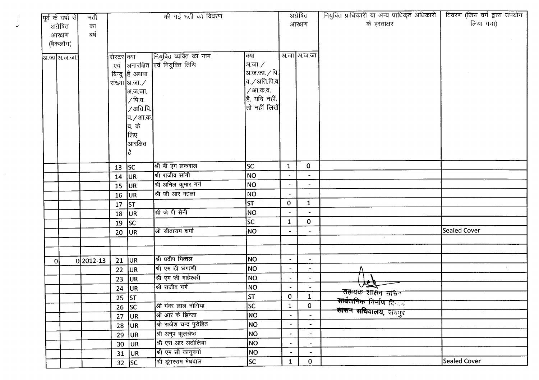|   | पूर्व के वर्षों से | भर्ती       |                 |                       | की गई भर्ती का विवरण            |                       |                          | अंग्रेषित                | नियुक्ति प्राधिकारी या अन्य प्राधिकृत अधिकारी                              | विवरण (जिस वर्ग द्वारा उपयोग |
|---|--------------------|-------------|-----------------|-----------------------|---------------------------------|-----------------------|--------------------------|--------------------------|----------------------------------------------------------------------------|------------------------------|
|   | अग्रेषित           | का          |                 |                       |                                 |                       |                          | आरक्षण                   | के हस्ताक्षर                                                               | लिया गया)                    |
|   | आरक्षण             | बर्ष        |                 |                       |                                 |                       |                          |                          |                                                                            |                              |
|   | (बैकलॉग)           |             |                 |                       |                                 |                       |                          |                          |                                                                            |                              |
|   | अ.जा अ.ज.जा.       |             | रोस्टर क्या     |                       | नियुक्ति व्यक्ति का नाम         | क्या                  |                          | अ.जा अ.ज.जा.             |                                                                            |                              |
|   |                    |             |                 |                       | एवं अनारक्षित एवं नियुक्ति तिथि | अ.जा. $\angle$        |                          |                          |                                                                            |                              |
|   |                    |             |                 | बिन्दु है अथवा        |                                 | अ.ज.जा. $\angle$ पि.  |                          |                          |                                                                            |                              |
|   |                    |             |                 | संख्या आजा. /         |                                 | व. / अति.पि.व $\vert$ |                          |                          |                                                                            |                              |
|   |                    |             |                 | अ.ज.जा.               |                                 | /आ.क.व.               |                          |                          |                                                                            |                              |
|   |                    |             |                 | ∕ पि.व.               |                                 | है, यदि नहीं,         |                          |                          |                                                                            |                              |
|   |                    |             |                 | /अति.पि. <sup>1</sup> |                                 | $ $ तो नहीं लिखें $ $ |                          |                          |                                                                            |                              |
|   |                    |             |                 | व. <i>/</i> आ.क.      |                                 |                       |                          |                          |                                                                            |                              |
|   |                    |             |                 | <b>बि. के</b>         |                                 |                       |                          |                          |                                                                            |                              |
|   |                    |             |                 | लिए                   |                                 |                       |                          |                          |                                                                            |                              |
|   |                    |             |                 | आरक्षित               |                                 |                       |                          |                          |                                                                            |                              |
|   |                    |             |                 | है                    |                                 |                       |                          |                          |                                                                            |                              |
|   |                    |             | 13              | SC                    | श्री बी एम लकवाल                | lsc                   | $\mathbf{1}$             | $\mathbf 0$              |                                                                            |                              |
|   |                    |             | 14              | UR                    | श्री राजीव सांगी                | NO                    |                          | $\blacksquare$           |                                                                            |                              |
|   |                    |             | 15              | UR                    | श्री अनिल कुमार गर्ग            | NO                    |                          | $\blacksquare$           |                                                                            |                              |
|   |                    |             | $16$ UR         |                       | श्री जी आर महला                 | <b>NO</b>             |                          |                          |                                                                            |                              |
|   |                    |             | 17              | ST                    |                                 | <b>ST</b>             | $\mathbf{0}$             | $\mathbf{1}$             |                                                                            |                              |
|   |                    |             | 18              | UR                    | श्री जे पी सैनी                 | NO                    |                          | $\blacksquare$           |                                                                            |                              |
|   |                    |             | 19              | sc                    |                                 | lsc                   | $\mathbf{1}$             | $\mathbf{0}$             |                                                                            |                              |
|   |                    |             | 20              | UR.                   | श्री सीताराम शर्मा              | NO)                   |                          |                          |                                                                            | <b>Sealed Cover</b>          |
|   |                    |             |                 |                       |                                 |                       |                          |                          | $\sim$                                                                     |                              |
|   |                    |             |                 |                       |                                 |                       |                          |                          |                                                                            |                              |
| 0 |                    | $0 2012-13$ | 21              | UR                    | श्री प्रदीप मित्तल              | NO                    | $\blacksquare$           | $\overline{\phantom{a}}$ |                                                                            |                              |
|   |                    |             | 22              | UR.                   | श्री एम डी छंगाणी               | <b>NO</b>             | $\blacksquare$           | $\blacksquare$           |                                                                            | $\mathcal{A}$ .              |
|   |                    |             | 23              | UR.                   | श्री एम जी माहेश्वरी            | <b>NO</b>             | $\overline{\phantom{a}}$ | $\blacksquare$           |                                                                            |                              |
|   |                    |             |                 | $24$ UR               | श्री राजीव गर्ग                 | NO                    | $\blacksquare$           | $\blacksquare$           | VΩ                                                                         |                              |
|   |                    |             |                 | 25 $ ST$              |                                 | lst.                  | $\overline{0}$           | $\mathbf{1}$             | <del>राह्यक शास</del> न साचन<br><b>सार्वजनिक निर्माण दि</b> न्द्र <i>न</i> |                              |
|   |                    |             | 26              | <b>SC</b>             | श्री भंवर लाल नोगिया            | sc                    | $\mathbf{1}$             | $\mathbf 0$              | <del>शासन सथि</del> वालय, जयपुर                                            |                              |
|   |                    |             | 27              | UR                    | श्री आर के झिन्जा               | <b>NO</b>             | $\overline{\phantom{0}}$ | $\bullet$                |                                                                            | $\sim$                       |
|   |                    |             | 28              | UR.                   | श्री राजेश चन्द पुरोहित         | NO                    | $\blacksquare$           | $\blacksquare$           |                                                                            |                              |
|   |                    |             | 29              | UR.                   | श्री अनूप कुलश्रेष्ठ            | NO                    | $\bullet$                | $\blacksquare$           |                                                                            |                              |
|   |                    |             | 30 <sub>1</sub> | <b>JUR</b>            | श्री एस आर अठोलिया              | NO                    | $\blacksquare$           | $\blacksquare$           |                                                                            |                              |
|   |                    |             |                 | $31$ UR               | श्री एम सी कानूनगो              | <b>NO</b>             | $\blacksquare$           |                          |                                                                            |                              |
|   |                    |             |                 | $32$ SC               | श्री डूंगरराम मेघवाल            | <b>SC</b>             | $\mathbf{1}$             | $\mathbf{0}$             |                                                                            | Sealed Cover                 |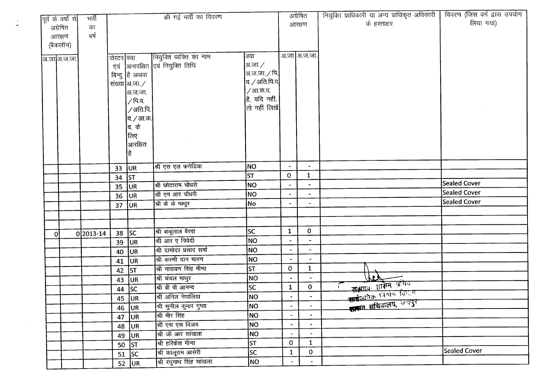|   | पूर्व के वर्षों से | मर्ती     |             |                  | की गई भर्ती का विवरण             |                        |                          | अग्रेषित                 | नियुक्ति प्राधिकारी या अन्य प्राधिकृत अधिकारी | विवरण (जिस वर्ग द्वारा उपयोग |
|---|--------------------|-----------|-------------|------------------|----------------------------------|------------------------|--------------------------|--------------------------|-----------------------------------------------|------------------------------|
|   | अग्रेषित           | का        |             |                  |                                  |                        |                          | आरक्षण                   | के हस्ताक्षर                                  | लिया गया)                    |
|   | आरक्षण             | बर्ष      |             |                  |                                  |                        |                          |                          |                                               |                              |
|   | (बैकलॉग)           |           |             |                  |                                  |                        |                          |                          |                                               |                              |
|   |                    |           | रोस्टर क्या |                  | नियुक्ति व्यक्ति का नाम          | क्या                   |                          | ँअ.जा अ.ज.जा.            |                                               |                              |
|   | अ.जाआि.ज.जा.       |           |             |                  | एवं  अनारक्षित एवं नियुक्ति तिथि | अ.जा. ∕                |                          |                          |                                               |                              |
|   |                    |           |             | बिन्दु है अथवा   |                                  | अ.ज.जा. / पि.          |                          |                          |                                               |                              |
|   |                    |           |             | संख्या आजा. /    |                                  | व. ⁄ अति.पि.व $\bm{l}$ |                          |                          |                                               |                              |
|   |                    |           |             | अ.ज.जा.          |                                  | / आ.क.व.               |                          |                          |                                               |                              |
|   |                    |           |             | $/$ पि.व.        |                                  | है, यदि नहीं,          |                          |                          |                                               |                              |
|   |                    |           |             | /अति.पि.         |                                  | तो नहीं लिखें          |                          |                          |                                               |                              |
|   |                    |           |             | व. <i>/</i> आ.क. |                                  |                        |                          |                          |                                               |                              |
|   |                    |           |             | <b>बि.</b> के    |                                  |                        |                          |                          |                                               |                              |
|   |                    |           |             | लिए              |                                  |                        |                          |                          |                                               |                              |
|   |                    |           |             | आरक्षित          |                                  |                        |                          |                          |                                               |                              |
|   |                    |           |             |                  |                                  |                        |                          |                          |                                               |                              |
|   |                    |           | 33          | <b>JUR</b>       | श्री एस एल फगेडिया               | <b>NO</b>              | $\overline{\phantom{a}}$ | $\blacksquare$           |                                               |                              |
|   |                    |           | 34          | <b>ST</b>        |                                  | st                     | $\mathbf 0$              | $\mathbf{1}$             |                                               |                              |
|   |                    |           | 35          | <b>JUR</b>       | श्री छोटाराम चौधरी               | NO                     |                          |                          |                                               | <b>Sealed Cover</b>          |
|   |                    |           | 36          | UR)              | श्री एम आर चौधरी                 | NO                     |                          |                          |                                               | <b>Sealed Cover</b>          |
|   |                    |           | 37          | <b>JUR</b>       | श्री के के माथुर                 | No                     |                          | $\blacksquare$           |                                               | <b>Sealed Cover</b>          |
|   |                    |           |             |                  |                                  |                        |                          |                          |                                               |                              |
|   |                    |           |             |                  |                                  |                        |                          |                          |                                               |                              |
| 0 |                    | 0 2013-14 |             | $38$ SC          | श्री बाबूलाल बैरवा               | <b>SC</b>              | $\mathbf{1}$             | $\mathbf 0$              |                                               |                              |
|   |                    |           | 39          | UR               | श्री आर ए त्रिवेदी               | <b>NO</b>              |                          | $\blacksquare$           |                                               |                              |
|   |                    |           | 40          | UR               | श्री दामोदर प्रसाद शर्मा         | NO                     | $\blacksquare$           | $\blacksquare$           |                                               |                              |
|   |                    |           | 41          | UR               | श्री करणी दान चारण               | <b>NO</b>              | $\bullet$                | $\overline{\phantom{a}}$ |                                               |                              |
|   |                    |           |             | 42 ST            | श्री नारायण सिंह मीणा            | st                     | $\mathbf{O}$             | $\mathbf{1}$             |                                               |                              |
|   |                    |           | 43          | UR <sup>1</sup>  | श्री चंचल माथुर                  | <b>NO</b>              | $\blacksquare$           |                          | YF)                                           |                              |
|   |                    |           | 44          | SC               | श्री बी पी आनन्द                 | <b>SC</b>              | $\mathbf{1}$             | $\mathbf{O}$             | जलयवः शासन प्रसिध                             |                              |
|   |                    |           |             | $45$ UR          | श्री अनिल नेपालिया               | NO                     | $\bullet$                |                          | सार्वज्ञानिक विभाग विभाग                      |                              |
|   |                    |           |             | 46 $ UR $        | श्री सुनील कुमार गुप्ता          | NO                     | $\blacksquare$           | $\overline{\phantom{a}}$ | सामन सचिवालय, जयपुर                           |                              |
|   |                    |           |             | 47 $ UR $        | श्री मीर सिंह                    | NO                     | $\blacksquare$           |                          |                                               |                              |
|   |                    |           |             | 48 $ UR$         | श्री एस एस विजय                  | NO                     | $\blacksquare$           | $\blacksquare$           |                                               |                              |
|   |                    |           |             | 49 $ UR $        | श्री जी आर सांखला                | <b>NO</b>              | $\blacksquare$           | $\overline{\phantom{a}}$ |                                               |                              |
|   |                    |           |             | $50$ ST          | श्री हरिकेश मीणा                 | <b>ST</b>              | $\mathbf 0$              | $\mathbf{1}$             |                                               |                              |
|   |                    |           |             | 51 $ SC$         | श्री कालूराम आसेरी               | SC                     | $\mathbf{1}$             | $\mathbf 0$              |                                               | <b>Sealed Cover</b>          |
|   |                    |           |             | $52$ UR          | श्री रघुनाथ सिंह सांखला          | NO                     |                          | $\blacksquare$           |                                               |                              |

 $\frac{1}{2}$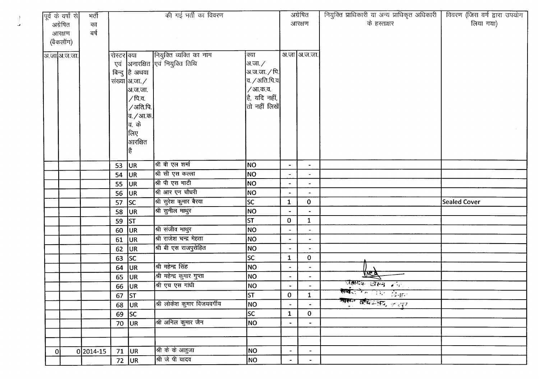|    | पूर्व के वर्षों से | भर्ती     |             |                       | की गई भर्ती का विवरण        |                                                  |                          | अग्रेषित                 | नियुक्ति प्राधिकारी या अन्य प्राधिकृत अधिकारी | विवरण (जिस वर्ग द्वारा उपयोग |
|----|--------------------|-----------|-------------|-----------------------|-----------------------------|--------------------------------------------------|--------------------------|--------------------------|-----------------------------------------------|------------------------------|
|    | अग्रेषित           | का        |             |                       |                             |                                                  |                          | आरक्षण                   | के हस्ताक्षर                                  | लिया गया)                    |
|    | आरक्षण             | वर्ष      |             |                       |                             |                                                  |                          |                          |                                               |                              |
|    | (बैकलॉग)           |           |             |                       |                             |                                                  |                          |                          |                                               |                              |
|    | अ.जा अ.ज.जा.       |           | रोस्टर क्या |                       | नियुक्ति व्यक्ति का नाम     | क्या                                             |                          | अ.जा आ.ज.जा.             |                                               |                              |
|    |                    |           | एवं         |                       | अनारक्षित एवं नियुक्ति तिथि | अ.जा. ∕                                          |                          |                          |                                               |                              |
|    |                    |           |             | बिन्दु है अथवा        |                             | अ.ज.जा. ∕ पि.                                    |                          |                          |                                               |                              |
|    |                    |           |             | संख्या आ.जा. $\angle$ |                             | $a$ / अति.पि.व $\vert$                           |                          |                          |                                               |                              |
|    |                    |           |             | अ.ज.जा.               |                             | / आ.क.व.                                         |                          |                          |                                               |                              |
|    |                    |           |             | / पि.व.               |                             | है, यदि नहीं,                                    |                          |                          |                                               |                              |
|    |                    |           |             | /अति.पि.              |                             | $ \mathfrak{\mathfrak{a}}\rangle$ नहीं लिखें $ $ |                          |                          |                                               |                              |
|    |                    |           |             | व. / आ.क.             |                             |                                                  |                          |                          |                                               |                              |
|    |                    |           |             | वि. के                |                             |                                                  |                          |                          |                                               |                              |
|    |                    |           |             | कला                   |                             |                                                  |                          |                          |                                               |                              |
|    |                    |           |             | आरक्षित               |                             |                                                  |                          |                          |                                               |                              |
|    |                    |           |             | हैं                   |                             |                                                  |                          |                          |                                               |                              |
|    |                    |           |             |                       |                             |                                                  |                          |                          |                                               |                              |
|    |                    |           | 53          | <b>JUR</b>            | श्री बी एल शर्मा            | <b>NO</b>                                        | $\overline{\phantom{a}}$ | $\overline{\phantom{a}}$ |                                               |                              |
|    |                    |           | 54          | <b>JUR</b>            | श्री सी एस कल्ला            | <b>NO</b>                                        | $\blacksquare$           | $\blacksquare$           |                                               |                              |
|    |                    |           | 55          | <b>JUR</b>            | श्री पी एस भाटी             | NO                                               |                          | $\blacksquare$           |                                               |                              |
|    |                    |           | 56          | <b>UR</b>             | श्री आर एन चौधरी            | NO                                               |                          |                          |                                               |                              |
|    |                    |           | 57          | <b>SC</b>             | श्री सुरेश कुमार बैरवा      | SC                                               | $\mathbf{1}$             | $\mathbf{0}$             |                                               | <b>Sealed Cover</b>          |
|    |                    |           | 58          | UR                    | श्री सुनील माथुर            | <b>NO</b>                                        |                          | $\tilde{\phantom{a}}$    |                                               |                              |
|    |                    |           | 59          | ST                    |                             | <b>ST</b>                                        | 0                        | $\mathbf{1}$             |                                               |                              |
|    |                    |           | 60          | JUR                   | श्री संजीव माथुर            | NO                                               |                          | $\overline{\phantom{a}}$ |                                               |                              |
|    |                    |           | 61          | UR)                   | श्री राजेश चन्द्र मेहता     | <b>NO</b>                                        |                          |                          |                                               |                              |
|    |                    |           | 62          | <b>JUR</b>            | श्री बी एस राजपुरोहित       | NO                                               |                          | $\blacksquare$           |                                               |                              |
|    |                    |           | 63          | <b>SC</b>             |                             | lsc                                              | $\mathbf{1}$             | $\mathbf{0}$             |                                               |                              |
|    |                    |           | 64          | <b>JUR</b>            | श्री महेन्द्र सिंह          | NO                                               | $\blacksquare$           | $\overline{\phantom{a}}$ |                                               |                              |
|    |                    |           | 65          | <b>JUR</b>            | श्री महेन्द्र कुमार गुप्ता  | NO                                               | $\blacksquare$           |                          | tree                                          |                              |
|    |                    |           |             | 66 UR                 | श्री एच एस गांधी            | NO.                                              | $\bullet$                |                          | रोहायक शास्त्र अधि                            |                              |
|    |                    |           | 67 $ ST $   |                       |                             | <b>ST</b>                                        | $\mathbf{0}$             | $\mathbf{1}$             | सार्वज्ञ के स्वरूप खेलार                      |                              |
|    |                    |           |             | $68$ UR               | श्री लोकेश कुमार विजयवर्गीय | NO                                               | $\blacksquare$           | $\frac{1}{2}$            | <del>जासन सचिवन</del> ्त्रय, जन्मूर           |                              |
|    |                    |           |             | $69$ SC               |                             | <b>SC</b>                                        | $\mathbf{1}$             | $\mathbf{O}$             |                                               |                              |
|    |                    |           | 70          | <b>JUR</b>            | श्री अनिल कुमार जैन         | NO                                               | $\blacksquare$           |                          |                                               |                              |
|    |                    |           |             |                       |                             |                                                  |                          |                          |                                               |                              |
|    |                    |           |             |                       |                             |                                                  |                          |                          |                                               |                              |
| οI |                    | 0 2014-15 | 71          | <b>JUR</b>            | श्री के के आहुजा            | <b>NO</b>                                        | $\overline{\phantom{a}}$ | $\blacksquare$           |                                               |                              |
|    |                    |           |             | $72 \overline{U}$     | श्री जे पी यादव             | NO                                               | $\blacksquare$           | $\overline{\phantom{a}}$ |                                               |                              |

 $\frac{1}{2}$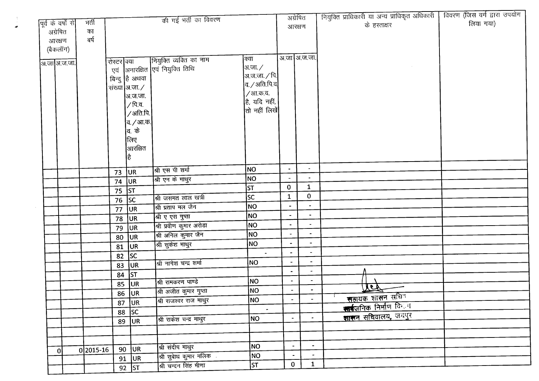|                    |             |             |                  | की गई भर्ती का विवरण            |                               | अग्रेषित              |                          | नियुक्ति प्राधिकारी या अन्य प्राधिकृत अधिकारी | विवरण (जिस वर्ग द्वारा उपयोग |
|--------------------|-------------|-------------|------------------|---------------------------------|-------------------------------|-----------------------|--------------------------|-----------------------------------------------|------------------------------|
| पूर्व के वर्षों से | भर्ती       |             |                  |                                 |                               | आरक्षण                |                          | के हस्ताक्षर                                  | लिया गया)                    |
| अग्रेषित           | का          |             |                  |                                 |                               |                       |                          |                                               |                              |
| आरक्षण             | बर्ष        |             |                  |                                 |                               |                       |                          |                                               |                              |
| (बैकलॉग)           |             |             |                  |                                 |                               |                       |                          |                                               |                              |
| ञ.जा अ.ज.जा.       |             | रोस्टर क्या |                  | नियुक्ति व्यक्ति का नाम         | क्या                          |                       | अ.जा अ.ज.जा.             |                                               |                              |
|                    |             |             |                  | एवं अनारक्षित एवं नियुक्ति तिथि | आ.जा. $\angle$                |                       |                          |                                               |                              |
|                    |             |             | बिन्दु है अथवा   |                                 | अ.ज.जा. ∕ पि.                 |                       |                          |                                               |                              |
|                    |             |             | संख्या अ.जा. ⁄   |                                 | $ $ व. $\diagup$ अति.पि.व $ $ |                       |                          |                                               |                              |
|                    |             |             | अ.ज.जा.          |                                 | /आ.क.व.<br>है, यदि नहीं,      |                       |                          |                                               |                              |
|                    |             |             | ∕ पि.व.          |                                 | $ $ तो नहीं लिखें $ $         |                       |                          |                                               |                              |
|                    |             |             | /अति.पि.         |                                 |                               |                       |                          |                                               |                              |
|                    |             |             | व. <i>/</i> आ.क. |                                 |                               |                       |                          |                                               |                              |
|                    |             |             | व. के            |                                 |                               |                       |                          |                                               |                              |
|                    |             |             | लिए              |                                 |                               |                       |                          |                                               |                              |
|                    |             |             | $\vert$ आरक्षित  |                                 |                               |                       |                          |                                               |                              |
|                    |             |             | है               |                                 |                               |                       |                          |                                               |                              |
|                    |             | 73          | UR               | श्री एस पी शर्मा                | NO                            | $\bullet$             | $\blacksquare$           |                                               |                              |
|                    |             | 74          | UR               | श्री एन के माथुर                | <b>NO</b>                     |                       |                          |                                               |                              |
|                    |             | 75          | <b>ST</b>        |                                 | <b>ST</b>                     | $\mathbf 0$           | $\mathbf{1}$             |                                               |                              |
|                    |             | 76          | SC               | श्री जसमत लाल खत्री             | SC                            | $\mathbf{1}$          | $\bf{0}$                 |                                               |                              |
|                    |             | 77          | UR               | श्री प्रताप मल जैन              | NO                            |                       |                          |                                               |                              |
|                    |             |             | 78 JUR           | <u>श्री ए एस गु</u> प्ता        | NO                            | $\blacksquare$        | $\blacksquare$           |                                               |                              |
|                    |             | 79          | <b>JUR</b>       | श्री प्रवीण कुमार अरोड़ा        | NO                            | $\blacksquare$        |                          |                                               |                              |
|                    |             | 80          | UR.              | श्री अनिल कुमार जैन             | <b>NO</b>                     | $\blacksquare$        | $\blacksquare$           |                                               |                              |
|                    |             | 81          | UR               | श्री सुकेश माथुर                | NO                            | $\blacksquare$        | $\blacksquare$           |                                               |                              |
|                    |             | 82          | sc               |                                 | $\sim$                        | $\tilde{\phantom{a}}$ | $\overline{\phantom{a}}$ |                                               |                              |
|                    |             | 83          | <b>JUR</b>       | श्री नागेश चन्द्र शर्मा         | <b>NO</b>                     |                       | $\blacksquare$           |                                               |                              |
|                    |             | 84          | ST               |                                 |                               |                       | $\bullet$                |                                               |                              |
|                    |             | 85          | <b>JUR</b>       | श्री रामकरण पाण्डे              | <b>NO</b>                     | $\blacksquare$        | $\blacksquare$           |                                               |                              |
|                    |             | 86          | UR               | श्री अजीत कुमार गुप्ता          | NO                            | $\blacksquare$        | $\bullet$                | <u>Jed</u>                                    |                              |
|                    |             |             | $87$ UR          | श्री राजश्वर राज माथुर          | NO                            |                       | $\blacksquare$           | <u>सन्नायक शासन सचित</u>                      |                              |
|                    |             | 88          | SC               |                                 | $\blacksquare$                |                       |                          | कार्बजनिक निर्माण विकास                       |                              |
|                    |             | 89          | UR               | श्री राकेश चन्द्र माथुर         | NO                            | ٠                     | $\blacksquare$           | शासन सचिवालय, जयपुर                           |                              |
|                    |             |             |                  |                                 |                               |                       |                          |                                               |                              |
|                    |             |             |                  |                                 |                               |                       |                          |                                               |                              |
| 0                  | $0 2015-16$ |             | $90$ UR          | श्री संदीप माथुर                | NO                            | $\bullet$             | $\blacksquare$           |                                               |                              |
|                    |             |             | $91$ UR          | श्री सुबेाध कुमार मलिक          | NO                            | $\blacksquare$        | $\bullet$                |                                               |                              |
|                    |             |             | 92 ST            | श्री चन्दन सिंह मीणा            | ST                            | $\mathbf{0}$          | $\mathbf{1}$             |                                               |                              |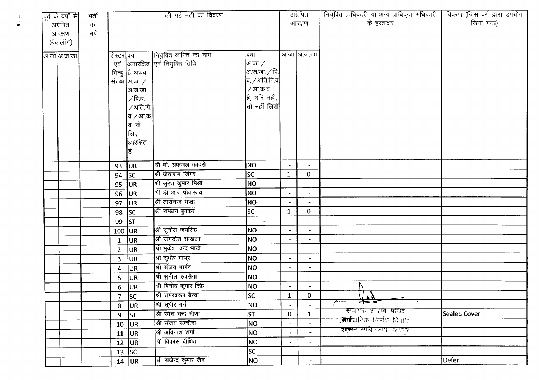| पूर्व के वर्षों से | मर्ती |                  |                         | की गई भर्ती का विवरण        |                              |                          | अग्रेषित                 | नियुक्ति प्राधिकारी या अन्य प्राधिकृत अधिकारी                                             | विवरण (जिस वर्ग द्वारा उपयोग |
|--------------------|-------|------------------|-------------------------|-----------------------------|------------------------------|--------------------------|--------------------------|-------------------------------------------------------------------------------------------|------------------------------|
| अग्रेषित           | का    |                  |                         |                             |                              |                          | आरक्षण                   | के हस्ताक्षर                                                                              | लिया गया)                    |
| आरक्षण             | बर्ष  |                  |                         |                             |                              |                          |                          |                                                                                           |                              |
| (बैकलॉग)           |       |                  |                         |                             |                              |                          |                          |                                                                                           |                              |
| अ.जा अ.ज.जा.       |       | रोस्टर क्या      |                         | नियुक्ति व्यक्ति का नाम     | क्या                         |                          | अ.जा अ.ज.जा.             |                                                                                           |                              |
|                    |       | एवं              |                         | अनारक्षित एवं नियुक्ति तिथि | अ.जा. ∕                      |                          |                          |                                                                                           |                              |
|                    |       |                  | बिन्दु है अथवा          |                             | अ.ज.जा. $\angle$ पि.         |                          |                          |                                                                                           |                              |
|                    |       |                  | संख्या अ.जा./           |                             | $ $ व. $\angle$ अति.पि.व $ $ |                          |                          |                                                                                           |                              |
|                    |       |                  | अ.ज.जा.                 |                             | /आ.क.व.                      |                          |                          |                                                                                           |                              |
|                    |       |                  | ∕ पि.व.                 |                             | है, यदि नहीं,                |                          |                          |                                                                                           |                              |
|                    |       |                  | /अति.पि.                |                             | तो नहीं लिखें                |                          |                          |                                                                                           |                              |
|                    |       |                  | व. <i>/</i> आ.क.        |                             |                              |                          |                          |                                                                                           |                              |
|                    |       |                  | व. के                   |                             |                              |                          |                          |                                                                                           |                              |
|                    |       |                  | लिए                     |                             |                              |                          |                          |                                                                                           |                              |
|                    |       |                  | आरक्षित                 |                             |                              |                          |                          |                                                                                           |                              |
|                    |       |                  | ∣हैं                    |                             |                              |                          |                          |                                                                                           |                              |
|                    |       |                  | UR                      | श्री मो. अफजल कादरी         | NO                           |                          |                          |                                                                                           |                              |
|                    |       | 93<br>94         | sc                      | श्री जेठाराम जिंगर          | lsc.                         | $\mathbf{1}$             | $\mathbf{0}$             |                                                                                           |                              |
|                    |       | 95               | <b>JUR</b>              | श्री सुरेश कुमार मिश्रा     | <b>NO</b>                    |                          |                          |                                                                                           |                              |
|                    |       | 96               | UR <sub>.</sub>         | श्री डी आर श्रीवास्तव       | <b>NO</b>                    |                          | $\overline{\phantom{a}}$ |                                                                                           |                              |
|                    |       | 97               | <b>JUR</b>              | श्री ताराचन्द गुप्ता        | NO                           |                          | $\blacksquare$           |                                                                                           |                              |
|                    |       | 98               | SC                      | श्री रामधन बुनकर            | lsc                          | $\mathbf{1}$             | $\mathbf{0}$             |                                                                                           |                              |
|                    |       | 99               | ST                      |                             | $\blacksquare$               |                          |                          |                                                                                           |                              |
|                    |       | $100$ UR         |                         | श्री सुनील जयसिंह           | NO.                          | $\blacksquare$           | $\blacksquare$           |                                                                                           |                              |
|                    |       | $\mathbf{1}$     | <b>UR</b>               | श्री जगदीश सांखला           | NO                           |                          |                          |                                                                                           |                              |
|                    |       | $\overline{2}$   | UR                      | श्री मुकेश चन्द भाटी        | NO                           |                          |                          |                                                                                           |                              |
|                    |       | 3                | <b>UR</b>               | श्री सुधीर माथुर            | <b>NO</b>                    | $\blacksquare$           | $\blacksquare$           |                                                                                           |                              |
|                    |       | 4                | <b>UR</b>               | श्री संजय भार्गव            | NO                           | $\blacksquare$           | ٠                        |                                                                                           |                              |
|                    |       | 5                | UR.                     | श्री सुनील सक्सैना          | NO                           | $\blacksquare$           | $\blacksquare$           |                                                                                           |                              |
|                    |       | $\boldsymbol{6}$ | UR                      | श्री विनोद कुमार सिंह       | <b>NO</b>                    | $\blacksquare$           |                          |                                                                                           |                              |
|                    |       | $\overline{7}$   | $\overline{\mathsf{S}}$ | श्री रामस्वरूप बैरवा        | <b>SC</b>                    | $\mathbf{1}$             | $\mathbf 0$              | لأهلنا                                                                                    |                              |
|                    |       | 8                | UR.                     | श्री सुधीर गर्ग             | NO                           | $\overline{\phantom{a}}$ |                          | $\overline{\mathscr{F}^{\omega \rightarrow \cdots}}$<br>कर्ज<br>$\overline{\mathbf{v}^*}$ |                              |
|                    |       | 9                | <b>ST</b>               | श्री रमेश चन्द मीणा         | <b>ST</b>                    | $\mathbf{0}$             | $\mathbf{1}$             | संचायक शासन खेळेव                                                                         | Sealed Cover                 |
|                    |       | 10               | UR.                     | श्री संजय सक्सैना           | NO                           | $\tilde{\phantom{a}}$    | $\blacksquare$           | ,सार्बजनिक निर्माण दिनागा                                                                 |                              |
|                    |       | 11               | UR.                     | श्री अविनाश शर्मा           | NO                           | $\overline{\phantom{a}}$ | $\blacksquare$           | <b>शासन</b> सचिवालय, जयपर                                                                 |                              |
|                    |       | 12               | UR                      | श्री विकास दीक्षित          | <b>NO</b>                    | $\blacksquare$           | $\blacksquare$           |                                                                                           |                              |
|                    |       |                  | 13 $ SC$                |                             | <b>SC</b>                    |                          |                          |                                                                                           |                              |
|                    |       |                  | $14$ UR                 | श्री राजेन्द्र कुमार जैन    | NO                           | $\overline{\phantom{0}}$ | $\overline{\phantom{a}}$ |                                                                                           | Defer                        |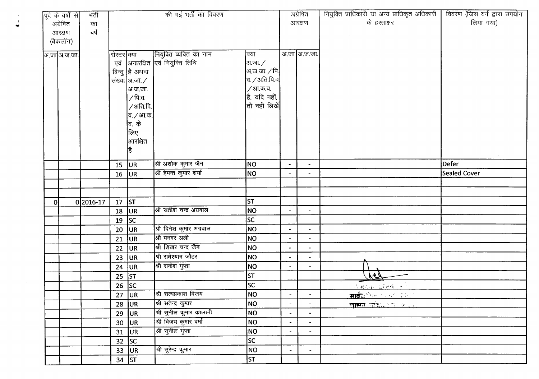|   | पूर्व के वर्षों से | भर्ती     |             |                                   | की गई भर्ती का विवरण             |                      |                          | अग्रेषित       | नियुक्ति प्राधिकारी या अन्य प्राधिकृत अधिकारी | विवरण (जिस वर्ग द्वारा उपयोग |
|---|--------------------|-----------|-------------|-----------------------------------|----------------------------------|----------------------|--------------------------|----------------|-----------------------------------------------|------------------------------|
|   | अग्रेषित           | का        |             |                                   |                                  |                      |                          | आरक्षण         | के हस्ताक्षर                                  | लिया गया)                    |
|   | आरक्षण             | बर्ष      |             |                                   |                                  |                      |                          |                |                                               |                              |
|   | (बैकलॉग)           |           |             |                                   |                                  |                      |                          |                |                                               |                              |
|   | अ.जा अ.ज.जा.       |           | रोस्टर क्या |                                   | नियुक्ति व्यक्ति का नाम          | क्या                 |                          | अ.जा अ.ज.जा.   |                                               |                              |
|   |                    |           |             |                                   | एवं  अनारक्षित एवं नियुक्ति तिथि | अ.जा. ∕              |                          |                |                                               |                              |
|   |                    |           |             | बिन्दु हि अथवा                    |                                  | अ.ज.जा. $\sqrt{p}$ । |                          |                |                                               |                              |
|   |                    |           |             | संख्या $\mathsf{a}$ .जा. $\angle$ |                                  | $a /$ अति.पि.व       |                          |                |                                               |                              |
|   |                    |           |             | अ.ज.जा.                           |                                  | /आ.क.व.              |                          |                |                                               |                              |
|   |                    |           |             | /पि.व.                            |                                  | है, यदि नहीं,        |                          |                |                                               |                              |
|   |                    |           |             | /अति.पि.                          |                                  | तो नहीं लिखें        |                          |                |                                               |                              |
|   |                    |           |             | <sup>∣</sup> व. ∕ आ.क.∣           |                                  |                      |                          |                |                                               |                              |
|   |                    |           |             | <b>बि. के</b>                     |                                  |                      |                          |                |                                               |                              |
|   |                    |           |             | क्तिए                             |                                  |                      |                          |                |                                               |                              |
|   |                    |           |             | आरक्षित                           |                                  |                      |                          |                |                                               |                              |
|   |                    |           |             | है                                |                                  |                      |                          |                |                                               | $\sim$                       |
|   |                    |           | 15          | UR                                | श्री अशोक कुमार जैन              | NO                   | $\overline{\phantom{a}}$ | $\blacksquare$ |                                               | Defer                        |
|   |                    |           | 16          | UR                                | श्री हेमन्त कुमार शर्मा          | NO                   | $\overline{\phantom{a}}$ |                |                                               | <b>Sealed Cover</b>          |
|   |                    |           |             |                                   |                                  |                      |                          |                |                                               |                              |
|   |                    |           |             |                                   |                                  |                      |                          |                |                                               |                              |
| 0 |                    | 0 2016-17 | 17          | ST                                |                                  | <b>ST</b>            |                          |                |                                               |                              |
|   |                    |           | 18          | <b>JUR</b>                        | श्री सतीश चन्द्र अग्रवाल         | <b>NO</b>            | $\bullet$                | $\blacksquare$ |                                               |                              |
|   |                    |           | 19          | SC                                |                                  | lsc                  |                          |                |                                               |                              |
|   |                    |           | 20          | UR.                               | श्री दिनेश कुमार अग्रवाल         | <b>NO</b>            |                          | $\blacksquare$ |                                               |                              |
|   |                    |           | 21          | <b>JUR</b>                        | श्री मनवर अली                    | NO                   |                          |                |                                               |                              |
|   |                    |           | 22          | UR                                | श्री शिखर चन्द जैन               | NO                   |                          |                |                                               |                              |
|   |                    |           | 23          | <b>JUR</b>                        | श्री राधेश्याम जौहर              | NO                   | $\blacksquare$           | $\blacksquare$ |                                               |                              |
|   |                    |           | 24          | UR <sub>1</sub>                   | श्री राकेश गुप्ता                | NO                   | $\bullet$                | $\blacksquare$ |                                               |                              |
|   |                    |           | 25          | ST                                |                                  | <b>ST</b>            |                          |                | <u>hey</u>                                    |                              |
|   |                    |           | $26$ SC     |                                   |                                  | SC                   |                          |                | Marcas Global +                               |                              |
|   |                    |           |             | $27$ UR                           | श्री सत्यप्रकाश विजय             | NO                   | $\blacksquare$           | $\bullet$      | <u>सार्वजनिक अन्तर करने ।</u>                 |                              |
|   |                    |           | 28          | <b>JUR</b>                        | श्री सतेन्द्र कुमार              | NO                   | $\blacksquare$           | $\blacksquare$ | <u>लास्कन पुरिन्ता को जाएगा।</u>              |                              |
|   |                    |           |             | $29$ UR                           | श्री सुनील कुमार कालानी          | NO                   | $\sim$                   | $\bullet$      |                                               |                              |
|   |                    |           |             | $30$ UR                           | श्री विजय कुमार वर्मा            | NO                   | $\bullet$                | $\blacksquare$ |                                               |                              |
|   |                    |           |             | $31$ UR                           | श्री सुनील गुप्ता                | NO                   | $\blacksquare$           | $\blacksquare$ |                                               |                              |
|   |                    |           | 32          | SC                                |                                  | $ \overline{SC} $    |                          |                |                                               |                              |
|   |                    |           |             | $33$ UR                           | श्री सुरेन्द्र कुमार             | NO                   | $\blacksquare$           | $\blacksquare$ |                                               |                              |
|   |                    |           |             | 34 $ ST$                          |                                  | ST                   |                          |                |                                               |                              |

...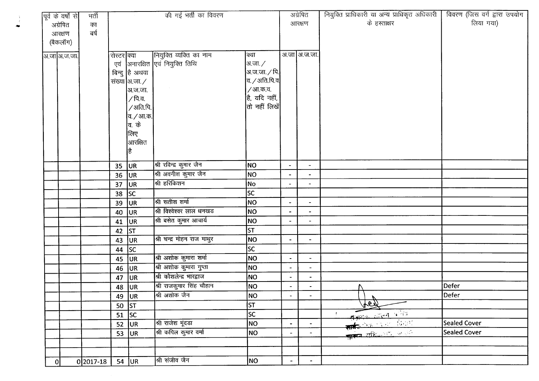|   | पूर्व के वर्षों से | मर्ती         |             |                             | की गई भर्ती का विवरण                 |                                   |                          | अग्रेषित                 | नियुक्ति प्राधिकारी या अन्य प्राधिकृत अधिकारी | विवरण (जिस वर्ग द्वारा उपयोग |
|---|--------------------|---------------|-------------|-----------------------------|--------------------------------------|-----------------------------------|--------------------------|--------------------------|-----------------------------------------------|------------------------------|
|   | अग्रेषित           | का            |             |                             |                                      |                                   |                          | आरक्षण                   | के हस्ताक्षर                                  | लिया गया)                    |
|   | आरक्षण             | बर्ष          |             |                             |                                      |                                   |                          |                          |                                               |                              |
|   | (बैकलॉग)           |               |             |                             |                                      |                                   |                          |                          |                                               |                              |
|   | अ.जा अ.ज.जा.       |               | रोस्टर क्या |                             | नियुक्ति व्यक्ति का नाम              | क्या                              |                          | अ.जा आ.ज.जा.             |                                               |                              |
|   |                    |               | एवं         |                             | अनारक्षित एवं नियुक्ति तिथि          | अ.जा. ∕                           |                          |                          |                                               |                              |
|   |                    |               |             | बिन्दु है अथवा              |                                      | अ.ज.जा. $\sqrt{$ पि.              |                          |                          |                                               |                              |
|   |                    |               |             | संख्या आ.जा. $\angle$       |                                      | व. $\sqrt{3}$ अति.पि.व $\sqrt{3}$ |                          |                          |                                               |                              |
|   |                    |               |             | अ.ज.जा.                     |                                      | / आ.क.व.                          |                          |                          |                                               |                              |
|   |                    |               |             | / पि.व.                     |                                      | $ \hat{\xi} $ यदि नहीं,           |                          |                          |                                               |                              |
|   |                    |               |             | $\sqrt{3}$ ाति.पि. $\left $ |                                      | $ $ तो नहीं लिखें $ $             |                          |                          |                                               |                              |
|   |                    |               |             | व. <i>/</i> आ.क.            |                                      |                                   |                          |                          |                                               |                              |
|   |                    |               |             | व. के                       |                                      |                                   |                          |                          |                                               |                              |
|   |                    |               |             | लिए                         |                                      |                                   |                          |                          |                                               |                              |
|   |                    |               |             | आरक्षित                     |                                      |                                   |                          |                          |                                               |                              |
|   |                    |               |             | है                          |                                      |                                   |                          |                          |                                               |                              |
|   |                    |               |             |                             |                                      |                                   |                          |                          |                                               |                              |
|   |                    |               | 35          | <b>JUR</b>                  | श्री रविन्द्र कुमार जैन              | NO                                | $\blacksquare$           | $\blacksquare$           |                                               |                              |
|   |                    |               | 36          | UR                          | श्री अवनीश कुमार जैन<br>श्री हरिकिशन | NO                                | $\blacksquare$           | $\blacksquare$           |                                               |                              |
|   |                    |               | 37          | UR]                         |                                      | No                                |                          |                          |                                               |                              |
|   |                    |               | 38          | <b>SC</b>                   | श्री सतीश शर्मा                      | sc                                |                          |                          |                                               |                              |
|   |                    |               | 39          | <b>JUR</b>                  | श्री विश्वेश्वर लाल धनखड             | NO                                | $\tilde{\phantom{a}}$    | $\blacksquare$           |                                               |                              |
|   |                    |               | 40          | UR.                         |                                      | NO                                | $\blacksquare$           | $\overline{\phantom{a}}$ |                                               |                              |
|   |                    |               | 41          | UR <sub>.</sub>             | श्री बसेत कुमार आचार्य               | <b>NO</b>                         | $\tilde{\phantom{a}}$    | $\blacksquare$           |                                               |                              |
|   |                    |               | 42          | st                          |                                      | <b>ST</b>                         |                          |                          |                                               |                              |
|   |                    |               | 43          | <b>JUR</b>                  | श्री चन्द्र मोहन राज माथुर           | NO                                | $\overline{\phantom{a}}$ | $\blacksquare$           |                                               |                              |
|   |                    |               | 44          | sc                          |                                      | <b>SC</b>                         |                          |                          |                                               |                              |
|   |                    |               | 45          | <b>UR</b>                   | श्री अशोक कुमारा शर्मा               | NO                                | $\overline{\phantom{a}}$ | $\rightarrow$            |                                               |                              |
|   |                    |               | 46          | UR.                         | श्री अशोक कुमारा गुप्ता              | NO                                | $\blacksquare$           | $\blacksquare$           |                                               |                              |
|   |                    |               | 47          | UR.                         | श्री कौशलेन्द्र भारद्वाज             | NO                                | $\blacksquare$           | $\overline{\phantom{a}}$ |                                               |                              |
|   |                    |               | 48          | <b>JUR</b>                  | श्री राजकुमार सिंह चौहान             | NO                                | $\blacksquare$           | $\blacksquare$           |                                               | Defer                        |
|   |                    |               | 49          | <b>JUR</b>                  | श्री अशोक जैन                        | NO)                               | $\blacksquare$           |                          | V                                             | Defer                        |
|   |                    |               | 50 $ ST$    |                             |                                      | <b>ST</b>                         |                          |                          | <u>ten</u>                                    |                              |
|   |                    |               | 51          | $\overline{\mathsf{S}}$ c   |                                      | $ \mathcal{S} $                   |                          |                          | सार्किक अस्ति परिवार<br>सार्किक परिवार विभागी |                              |
|   |                    |               | 52          | UR.                         | श्री राजेश मूंदडा                    | NO                                | $\blacksquare$           | $\blacksquare$           |                                               | <b>Sealed Cover</b>          |
|   |                    |               | 53          | UR                          | श्री कपिल कुमार वर्मा                | NO                                | $\blacksquare$           | $\blacksquare$           | <b>THE REGISTER OF REAL PROPERTY</b>          | <b>Sealed Cover</b>          |
|   |                    |               |             |                             |                                      |                                   |                          |                          |                                               |                              |
|   |                    |               |             |                             |                                      |                                   |                          |                          |                                               |                              |
| 0 |                    | $0 2017 - 18$ |             | $54$ UR                     | श्री संजीव जैन                       | NO                                | $\blacksquare$           | $\blacksquare$           |                                               |                              |

-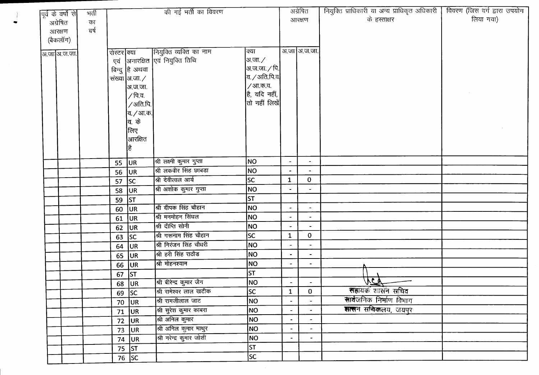| $\overline{\mathrm{q}^{\mathrm{d}}}$ के वर्षों से | मर्ती |             |                       | की गई भर्ती का विवरण            |                        |                          | अग्रेषित                     | नियुक्ति प्राधिकारी या अन्य प्राधिकृत अधिकारी | विवरण (जिस वर्ग द्वारा उपयोग |
|---------------------------------------------------|-------|-------------|-----------------------|---------------------------------|------------------------|--------------------------|------------------------------|-----------------------------------------------|------------------------------|
| अग्रेषित                                          | का    |             |                       |                                 |                        |                          | आरक्षण                       | के हस्ताक्षर                                  | लिया गया)                    |
| आरक्षण                                            | बर्ष  |             |                       |                                 |                        |                          |                              |                                               |                              |
| (बैकलॉग)                                          |       |             |                       |                                 |                        |                          |                              |                                               |                              |
|                                                   |       |             |                       | नियुक्ति व्यक्ति का नाम         | क्या                   |                          | अ.जा आ.ज.जा.                 |                                               |                              |
| आ.जा अ.ज.जा.                                      |       | रोस्टर क्या |                       | एवं आनारक्षित एवं नियुक्ति तिथि | अ.जा. ∕                |                          |                              |                                               |                              |
|                                                   |       |             | बिन्दु है अथवा        |                                 | अ.ज.जा. <i>/</i> पि.   |                          |                              |                                               |                              |
|                                                   |       |             | संख्या आ.जा. $\angle$ |                                 | $\sigma$ / अति.पि.व.   |                          |                              |                                               |                              |
|                                                   |       |             | अ.ज.जा.               |                                 | / आ.क.व.               |                          |                              |                                               |                              |
|                                                   |       |             | / पि.व.               |                                 | है, यदि नहीं,          |                          |                              |                                               |                              |
|                                                   |       |             | /अति.पि.              |                                 | तो नहीं लिखें $\vert$  |                          |                              |                                               |                              |
|                                                   |       |             | व. <i>/</i> आ.क.      |                                 |                        |                          |                              |                                               |                              |
|                                                   |       |             | <b>बि. के</b>         |                                 |                        |                          |                              |                                               |                              |
|                                                   |       |             | क्तिए                 |                                 |                        |                          |                              |                                               |                              |
|                                                   |       |             | आरक्षित               |                                 |                        |                          |                              |                                               |                              |
|                                                   |       |             |                       |                                 |                        |                          |                              |                                               |                              |
|                                                   |       |             |                       | श्री लक्ष्मी कुमार गुप्ता       | <b>NO</b>              | $\blacksquare$           | $\bullet$                    |                                               |                              |
|                                                   |       | 55          | UR.                   | श्री लकवीर सिंह छाबड़ा          | <b>NO</b>              | $\overline{\phantom{a}}$ |                              |                                               |                              |
|                                                   |       | 56          | UR)                   | श्री देवीलाल आर्य               | SC                     | $\mathbf{1}$             | $\mathbf{0}$                 |                                               |                              |
|                                                   |       | 57          | sc                    | श्री अशोक कुमार गुप्ता          | <b>NO</b>              |                          |                              |                                               |                              |
|                                                   |       | 58          | UR <sub>1</sub>       |                                 | ST                     |                          |                              |                                               |                              |
|                                                   |       | 59          | <b>ST</b>             | श्री दीपक सिंह चौहान            | NO                     | $\overline{\phantom{a}}$ | $\blacksquare$               |                                               |                              |
|                                                   |       | 60          | UR                    | श्री मनमोहन सिंघल               | <b>NO</b>              | $\blacksquare$           | $\tilde{\phantom{a}}$        |                                               |                              |
|                                                   |       | 61          | UR                    | श्री दीप्ति सोनी                | <b>NO</b>              | $\overline{\phantom{a}}$ |                              |                                               |                              |
|                                                   |       | 62          | UR.                   | श्री गरूनाम सिंह चौहान          | <b>SC</b>              | $\mathbf{1}$             | $\mathbf{0}$                 |                                               |                              |
|                                                   |       | 63          | sc                    | श्री निरंजन सिंह चौधरी          | NO                     |                          | $\blacksquare$               |                                               |                              |
|                                                   |       | 64          | UR                    | श्री हरी सिंह राठौड             |                        |                          |                              |                                               |                              |
|                                                   |       | 65          | UR                    | श्री मोहनश्याम                  | NO                     | $\blacksquare$           | $\blacksquare$               |                                               |                              |
|                                                   |       | 66          | UR                    |                                 | <b>NO</b>              | $\overline{\phantom{a}}$ | $\qquad \qquad \blacksquare$ |                                               |                              |
|                                                   |       | 67          | ST                    |                                 | <b>ST</b>              |                          |                              | $\widehat{V}$                                 |                              |
|                                                   |       | 68          | UR                    | श्री बीरेन्द्र कुमार जैन        | NO                     | $\blacksquare$           |                              | सहायक शासन सचिव                               |                              |
|                                                   |       |             | $69$ SC               | श्री रामेश्वर लाल खटीक          | $\overline{\text{sc}}$ | $\mathbf{1}$             | $\mathbf 0$                  |                                               |                              |
|                                                   |       | 70          | <sub>UR</sub>         | श्री रामजीलाल जाट               | NO                     | $\ddot{\phantom{0}}$     |                              | <b>सार्व</b> जनिक निर्माण विभाग               |                              |
|                                                   |       | 71          | <b>JUR</b>            | श्री सुरेश कुमार काबरा          | <b>NO</b>              |                          |                              | सालन सचिवालय, जयपुर                           |                              |
|                                                   |       | 72          | <b>JUR</b>            | श्री अनिल कुमार                 | NO                     | $\blacksquare$           | $\overline{\phantom{a}}$     |                                               |                              |
|                                                   |       | 73          | <b>JUR</b>            | श्री अनिल कुमार माथुर           | NO                     |                          |                              |                                               |                              |
|                                                   |       |             | 74 $ UR$              | श्री नरेन्द्र कुमार जोशी        | NO                     | $\bullet$                |                              |                                               |                              |
|                                                   |       |             | 75 $ ST$              |                                 | İsт                    |                          |                              |                                               |                              |
|                                                   |       |             | $\overline{76}$ SC    |                                 | SC                     |                          |                              |                                               |                              |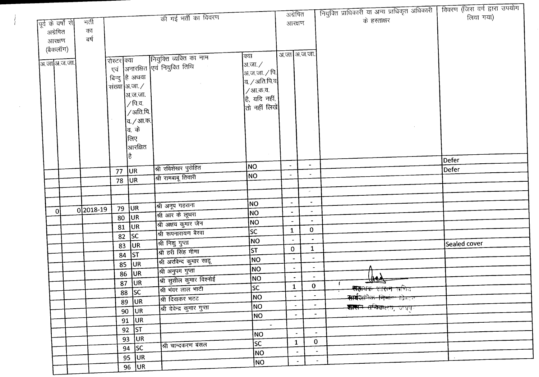|                    |           |               |                    |                                        |                    | अग्रेषित                 |                             | नियुक्ति प्राधिकारी या अन्य प्राधिकृत अधिकारी                         | विवरण (जिस वर्ग द्वारा उपयोग |
|--------------------|-----------|---------------|--------------------|----------------------------------------|--------------------|--------------------------|-----------------------------|-----------------------------------------------------------------------|------------------------------|
| पूर्व के वर्षों से | मर्ती     |               |                    | की गई भर्ती का विवरण                   |                    | आरक्षण                   |                             | के हस्ताक्षर                                                          | लिया गया)                    |
| अग्रेषित           | का        |               |                    |                                        |                    |                          |                             |                                                                       |                              |
| आरक्षण             | बर्ष      |               |                    |                                        |                    |                          |                             |                                                                       |                              |
| (बैकलॉग)           |           |               |                    |                                        |                    |                          |                             |                                                                       |                              |
|                    |           | रोस्टर क्या   |                    | नियुक्ति व्यक्ति का नाम                | क्या               |                          | अ.जा अ.ज.जा.                |                                                                       |                              |
| अ.जाआज.ज.जा.       |           |               |                    | एवं  अनारक्षित  एवं नियुक्ति तिथि      | अ.जा. ∕            |                          |                             |                                                                       |                              |
|                    |           |               | बिन्दु है अथवा     |                                        | अ.ज.जा. ∕ पि.∣     |                          |                             |                                                                       |                              |
|                    |           | संख्या अ.जा./ |                    |                                        | व. / अति.पि.व $\,$ |                          |                             |                                                                       |                              |
|                    |           |               | अ.ज.जा.            |                                        | / आ.क.व.           |                          |                             |                                                                       |                              |
|                    |           |               | /पि.व.             |                                        | है, यदि नहीं,      |                          |                             |                                                                       |                              |
|                    |           |               | /अति.पि.           |                                        | तो नहीं लिखें      |                          |                             |                                                                       |                              |
|                    |           |               | व. <i>/</i> आ.क.   |                                        |                    |                          |                             |                                                                       |                              |
|                    |           |               | व. के              |                                        |                    |                          |                             |                                                                       |                              |
|                    |           |               | लिए                |                                        |                    |                          |                             |                                                                       |                              |
|                    |           |               | आरक्षित            |                                        |                    |                          |                             |                                                                       |                              |
|                    |           |               | है                 |                                        |                    |                          |                             |                                                                       | Defer                        |
|                    |           |               |                    | श्री रविशेखर पुरोहित                   | NO.                | $\blacksquare$           | $\blacksquare$              |                                                                       | Defer                        |
|                    |           | 77            | UR.                | श्री रामबाबू तिवारी                    | NO                 | $\overline{\phantom{a}}$ | $\overline{\phantom{a}}$    |                                                                       |                              |
|                    |           | 78            | <b>JUR</b>         |                                        |                    |                          |                             |                                                                       |                              |
|                    |           |               |                    |                                        |                    |                          | $\sim$                      |                                                                       |                              |
|                    |           |               |                    | श्री अनूप गहराना                       | NO                 | $\blacksquare$           | $\overline{\phantom{a}}$    |                                                                       |                              |
| 0                  | 0 2018-19 | 79            | UR.                | श्री आर के लूथरा                       | NO                 | $\blacksquare$           | $\blacksquare$              |                                                                       |                              |
|                    |           | 80            | UR                 | श्री अक्षय कुमार जैन                   | NO                 |                          | $\overline{\phantom{0}}$    |                                                                       |                              |
|                    |           | 81            | UR.                | श्री रूपनारायण बैरवा                   | <b>SC</b>          | $\mathbf{1}$             | $\mathbf 0$                 |                                                                       |                              |
|                    |           | 82            | SC                 |                                        | NO                 | $\overline{\phantom{a}}$ | $\hat{\phantom{a}}$         |                                                                       |                              |
|                    |           | 83            | <b>JUR</b>         | श्री निशु गुप्ता<br>श्री हरी सिंह मीणा | <b>ST</b>          | $\mathbf 0$              | $\mathbf{1}$                |                                                                       | Sealed cover                 |
|                    |           | 84            | <b>ST</b>          |                                        | NO                 | $\overline{\phantom{a}}$ | $\ddot{\phantom{0}}$        |                                                                       |                              |
|                    |           | 85            | <b>JUR</b>         | श्री अरविन्द कुमार साहू                | <b>NO</b>          | $\overline{\phantom{a}}$ |                             |                                                                       |                              |
|                    |           |               | 86 UR              | श्री अनुपम गुप्ता                      | NO                 |                          |                             |                                                                       |                              |
|                    |           | 87            | <b>JUR</b>         | श्री सुशील कुमार विश्नोई               | lsc                | $\mathbf{1}$             | $\mathbf{0}$                | $\frac{1}{2}$                                                         |                              |
|                    |           |               | $88$ SC            | श्री भंवर लाल भाटी                     |                    |                          |                             | <del>सहायक शासन ल</del> गित<br><del>सार्वज्ञानिक निर्माण </del> खिमान |                              |
|                    |           | 89            | UR.                | श्री दिवाकर भटट                        | NO<br>NO.          | $\blacksquare$           | ٠                           |                                                                       |                              |
|                    |           |               | $90$ UR            | श्री देवेन्द्र कुमार गुप्ता            |                    |                          |                             | <b>शासन सचिवा</b> लय, जयपुर                                           |                              |
|                    |           |               | 91 UR              |                                        | NO                 |                          |                             |                                                                       |                              |
|                    |           |               | $\overline{92}$ ST |                                        | $\sim$             |                          | $\sim$                      |                                                                       |                              |
|                    |           |               | $93$ UR            |                                        | NO                 |                          | $\mathbf 0$<br>$\mathbf{1}$ |                                                                       |                              |
|                    |           |               | 94 $ SC$           | श्री चान्दकरण बंसल                     | SC.                |                          | $\blacksquare$              | $\blacksquare$                                                        |                              |
|                    |           |               | $95$ UR            |                                        | NO.                |                          | $\blacksquare$              | $\blacksquare$                                                        |                              |
|                    |           |               | 96 UR              |                                        | NO                 |                          |                             |                                                                       |                              |

 $\mathcal{L}^{\text{max}}_{\text{max}}$  and  $\mathcal{L}^{\text{max}}_{\text{max}}$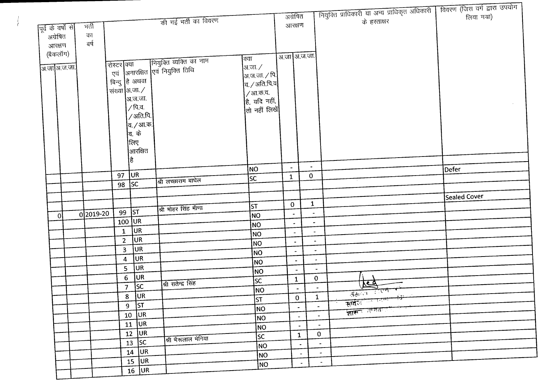|                    |           |                |                           |                                                                        |                          |                          |                          |                          | नियुक्ति प्राधिकारी या अन्य प्राधिकृत अधिकारी | विवरण (जिस वर्ग द्वारा उपयोग |
|--------------------|-----------|----------------|---------------------------|------------------------------------------------------------------------|--------------------------|--------------------------|--------------------------|--------------------------|-----------------------------------------------|------------------------------|
|                    |           |                |                           | की गई भर्ती का विवरण                                                   |                          | अग्रेषित                 |                          |                          | के हस्ताक्षर                                  | लिया गया)                    |
| पूर्व के वर्षों से | भर्ती     |                |                           |                                                                        |                          | आरक्षण                   |                          |                          |                                               |                              |
| अग्रेषित           | का        |                |                           |                                                                        |                          |                          |                          |                          |                                               |                              |
| आरक्षण             | बर्ष      |                |                           |                                                                        |                          |                          |                          |                          |                                               |                              |
| (बैकलॉग)           |           |                |                           |                                                                        | क्या                     | अ.जा अ.ज.जा.             |                          |                          |                                               |                              |
| अ.जाआज.ज.          |           | शिस्टर क्या    |                           | रोस्टर क्या कियुक्ति व्यक्ति का नाम<br>एवं अनारक्षित एवं नियुक्ति तिथि | अ.जा. $\angle$           |                          |                          |                          |                                               |                              |
|                    |           |                |                           |                                                                        | अ.ज.जा. ∕ पि.            |                          |                          |                          |                                               |                              |
|                    |           |                | बिन्दु हि अथवा            |                                                                        | $\sigma$ / अति.पि.व      |                          |                          |                          |                                               |                              |
|                    |           | संख्या अ.जा./  |                           |                                                                        | / आ.क.व.                 |                          |                          |                          |                                               |                              |
|                    |           |                | अ.ज.जा.                   |                                                                        | है, यदि नहीं,            |                          |                          |                          |                                               |                              |
|                    |           |                | ∕ पि.व.                   |                                                                        | तो नहीं लिखें            |                          |                          |                          |                                               |                              |
|                    |           |                | /अति.पि.                  |                                                                        |                          |                          |                          |                          |                                               |                              |
|                    |           |                | व. / आ.क.                 |                                                                        |                          |                          |                          |                          |                                               |                              |
|                    |           |                | व. के                     |                                                                        |                          |                          |                          |                          |                                               |                              |
|                    |           |                | लिए                       |                                                                        |                          |                          |                          |                          |                                               |                              |
|                    |           |                | आरक्षित                   |                                                                        |                          |                          |                          |                          |                                               |                              |
|                    |           |                | है                        |                                                                        | NO)                      | $\blacksquare$           | $\overline{\phantom{a}}$ |                          |                                               | Defer                        |
|                    |           | 97             | UR <sub>.</sub>           |                                                                        | SC                       | $\mathbf{1}$             | $\mathbf{0}$             |                          |                                               |                              |
|                    |           | 98             | <b>SC</b>                 | श्री लच्छाराम बाघेल                                                    |                          |                          |                          |                          |                                               |                              |
|                    |           |                |                           |                                                                        |                          |                          |                          |                          |                                               | Sealed Cover                 |
|                    |           |                |                           |                                                                        | ST                       | $\mathbf 0$              | $\mathbf{1}$             |                          |                                               |                              |
| $\overline{0}$     | 0 2019-20 | 99             | <b>ST</b>                 | श्री मोहर सिंह मीणा                                                    | NO                       | $\blacksquare$           |                          |                          |                                               |                              |
|                    |           |                | $100$ UR                  |                                                                        | NO                       |                          |                          | $\blacksquare$           |                                               |                              |
|                    |           | $\mathbf{1}$   | <b>JUR</b>                |                                                                        | NO                       |                          |                          | $\overline{\phantom{a}}$ |                                               |                              |
|                    |           | $\mathbf{2}$   | <b>JUR</b>                |                                                                        | NO                       | $\blacksquare$           |                          | $\blacksquare$           |                                               |                              |
|                    |           | 3 <sup>1</sup> | <b>JUR</b>                |                                                                        | NO <sub>1</sub>          | $\blacksquare$           |                          | $\bullet$                |                                               |                              |
|                    |           | 4              | UR.                       |                                                                        | NO                       | $\blacksquare$           |                          | $\bullet$                |                                               |                              |
|                    |           | 5              | <b>JUR</b>                |                                                                        | NO                       | $\blacksquare$           |                          | $\overline{\phantom{a}}$ |                                               |                              |
|                    |           | $6\phantom{a}$ | UR                        |                                                                        | SC.                      | $\mathbf{1}$             |                          | $\mathbf{O}$             |                                               |                              |
|                    |           | 7 <sup>7</sup> | $\overline{\mathsf{S}}$ C | श्री सतेन्द्र सिंह                                                     | NO                       | $\overline{\phantom{a}}$ |                          | $\blacksquare$           | $\frac{1}{\sqrt{10^{13}+10^{14}}}$            |                              |
|                    |           | 8              | UR                        |                                                                        | ST                       | $\mathbf{0}$             |                          | $\mathbf{1}$             | सार्वजन्तर स्थित सिंग                         |                              |
|                    |           | 9 <sub>o</sub> | $\sqrt{5}$                |                                                                        | NO                       |                          | $\blacksquare$           | $\blacksquare$           |                                               |                              |
|                    |           |                | $\overline{10}$ UR        |                                                                        | NO                       |                          | $\overline{\phantom{a}}$ | $\sim$                   | <u> ज्ञासन अस्तित इति</u>                     |                              |
|                    |           |                | $11$ UR                   |                                                                        | NO                       |                          | $\blacksquare$           | $\sim$                   |                                               |                              |
|                    |           |                | $12$ UR                   |                                                                        | $\overline{\mathsf{sc}}$ |                          | $\mathbf{1}$             | $\mathbf{0}$             |                                               |                              |
|                    |           |                | $\overline{13}$ SC        | श्री भैरूलाल भेनिया                                                    | NO                       |                          |                          | $\blacksquare$           |                                               |                              |
|                    |           |                | $\overline{14}$ UR        |                                                                        | NO                       |                          | $\sim$                   | $\sim$                   |                                               |                              |
|                    |           |                | $15$ UR                   |                                                                        | NO                       |                          | $\sim$                   | $\sim$                   |                                               |                              |
|                    |           |                | $16$ UR                   |                                                                        |                          |                          |                          |                          |                                               |                              |

÷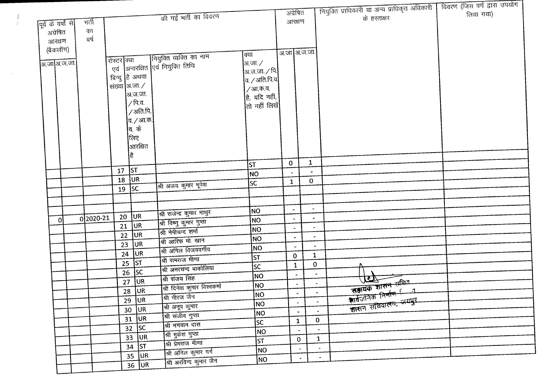|                                 |              |               |                               |                                     |                                        | अग्रेषित                 |                       |                          | नियुक्ति प्राधिकारी या अन्य प्राधिकृत अधिकारी                                           | विवरण (जिस वर्ग द्वारा उपयोग |
|---------------------------------|--------------|---------------|-------------------------------|-------------------------------------|----------------------------------------|--------------------------|-----------------------|--------------------------|-----------------------------------------------------------------------------------------|------------------------------|
|                                 | मर्ती        |               |                               | की गई भर्ती का विवरण                |                                        | आरक्षण                   |                       |                          | के हस्ताक्षर                                                                            | लिया गया)                    |
| पूर्व के वर्षों से <br>अग्रेषित | का           |               |                               |                                     |                                        |                          |                       |                          |                                                                                         |                              |
| आरक्षण                          | बर्ष         |               |                               |                                     |                                        |                          |                       |                          |                                                                                         |                              |
| (बैकलॉग)                        |              |               |                               |                                     |                                        |                          |                       |                          |                                                                                         |                              |
|                                 |              |               |                               | नियुक्ति व्यक्ति का नाम             | क्या                                   |                          | अ.जा अ.ज.जा.          |                          |                                                                                         |                              |
| अ.जा अ.ज.जा.                    |              | शिस्टर क्या   |                               | एवं  अनारक्षित एवं नियुक्ति तिथि    | अ.जा. $\angle$                         |                          |                       |                          |                                                                                         |                              |
|                                 |              |               | बिन्दु है अथवा                |                                     | अ.ज.जा. ⁄ पि.∣                         |                          |                       |                          |                                                                                         |                              |
|                                 |              | संख्या अ.जा./ |                               |                                     | व. / अति.पि.व $\mid$                   |                          |                       |                          |                                                                                         |                              |
|                                 |              |               | अ.ज.जा.                       |                                     | / आ.क.व.                               |                          |                       |                          |                                                                                         |                              |
|                                 |              |               | ∕ पि.व.                       |                                     | है, यदि नहीं,<br>तो नहीं लिखें $\vert$ |                          |                       |                          |                                                                                         |                              |
|                                 |              |               | /अति.पि.                      |                                     |                                        |                          |                       |                          |                                                                                         |                              |
|                                 |              |               | व. <i>/</i> आ.क.              |                                     |                                        |                          |                       |                          |                                                                                         |                              |
|                                 |              |               | व. के                         |                                     |                                        |                          |                       |                          |                                                                                         |                              |
|                                 |              |               | लिए                           |                                     |                                        |                          |                       |                          |                                                                                         |                              |
|                                 |              |               | आरक्षित                       |                                     |                                        |                          |                       |                          |                                                                                         |                              |
|                                 |              |               | है                            |                                     |                                        |                          |                       |                          |                                                                                         |                              |
|                                 |              | $17$ ST       |                               |                                     | ST                                     | $\overline{0}$           | $\mathbf{1}$          |                          |                                                                                         |                              |
|                                 |              | 18            | <b>JUR</b>                    |                                     | NO                                     |                          | $\mathbf 0$           |                          |                                                                                         |                              |
|                                 |              | 19            | SC                            | श्री अजय कुमार भूपेश                | lsc                                    | $\mathbf{1}$             |                       |                          |                                                                                         |                              |
|                                 |              |               |                               |                                     |                                        |                          |                       |                          |                                                                                         |                              |
|                                 |              |               |                               |                                     |                                        |                          | $\bullet$             |                          |                                                                                         |                              |
|                                 | $0$  2020-21 |               | $20$ UR                       | श्री राजेन्द्र कुमार माथुर          | NO                                     |                          | $\blacksquare$        |                          |                                                                                         |                              |
| 0l                              |              | 21            | UR.                           | श्री विष्णु कुमार गुप्ता            | NO                                     | $\overline{\phantom{a}}$ |                       | $\blacksquare$           |                                                                                         |                              |
|                                 |              | 22            | UR                            | श्री नेमीचन्द शर्मा                 | NO <sub>1</sub><br>N <sub>O</sub>      | $\bullet$                |                       |                          |                                                                                         |                              |
|                                 |              | 23            | <b>JUR</b>                    | श्री आरिफ मो. खान                   | NO                                     | $\blacksquare$           |                       |                          |                                                                                         |                              |
|                                 |              | 24            | UR                            | श्री अनिल विजयवर्गीय                | ST                                     | $\mathbf{0}$             |                       | $\mathbf{1}$             |                                                                                         |                              |
|                                 |              |               | $25$ ST                       | श्री रामराज मीणा                    | <b>SC</b>                              | $\mathbf{1}$             |                       | $\mathbf{0}$             |                                                                                         |                              |
|                                 |              |               | $\overline{26}$ SC            | श्री अमरचन्द बाकोलिया               | NO                                     |                          |                       | $\blacksquare$           |                                                                                         |                              |
|                                 |              | 27            | $ U_{.}$                      | श्री संजय सिंह                      | NO                                     |                          |                       | $\overline{\phantom{a}}$ | $\boldsymbol{\varpi}$                                                                   |                              |
|                                 |              |               | 28 UR                         | श्री दिनेश कुमार विश्वकर्मा         | NO                                     |                          | $\blacksquare$        | $\blacksquare$           | सहायक शासन संचित<br>रायजनिक निर्माण - 1<br>शायजनिक निर्माण - 1<br>शासन सचिवालय, जम्मपुर |                              |
|                                 |              | 29            | <b>JUR</b>                    | श्री नीरज जैन                       | <b>NO</b>                              |                          | ٠                     | $\blacksquare$           |                                                                                         |                              |
|                                 |              |               | $30$ $ $ UR                   | श्री अनूप कुमार                     | NO.                                    |                          | $\bullet$             | $\blacksquare$           |                                                                                         |                              |
|                                 |              |               | $31$ UR                       | श्री संजीव गुप्ता<br>श्री भगवान दास | lsc.                                   |                          | $\mathbf{1}$          | $\mathbf{0}$             |                                                                                         |                              |
|                                 |              |               | $32$ SC                       | श्री मुकेश गुप्ता                   | NO                                     |                          | $\tilde{\phantom{a}}$ | $\bullet$                |                                                                                         |                              |
|                                 |              |               | $33$ UR                       | श्री प्रेमराज मीणा                  | <b>ST</b>                              |                          | $\mathbf{0}$          | $\mathbf{1}$             |                                                                                         |                              |
|                                 |              |               | $\mathsf{I}$ st<br>34         | श्री अनिल कुमार गर्ग                | NO                                     |                          |                       | $\overline{\phantom{a}}$ |                                                                                         |                              |
|                                 |              |               | <b>JUR</b><br>35 <sub>1</sub> | श्री अरविन्द कुमार जैन              | NO                                     |                          |                       | $\bullet$                |                                                                                         |                              |
|                                 |              |               | 36 UR                         |                                     |                                        |                          |                       |                          |                                                                                         |                              |

 $\sim$